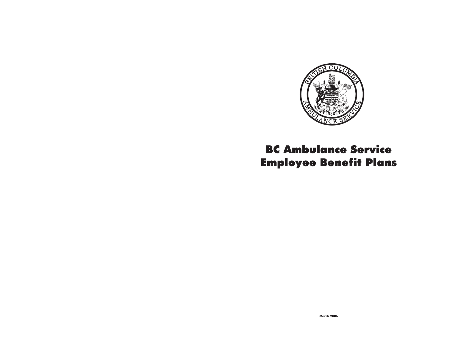

# **BC Ambulance Service Employee Benefit Plans**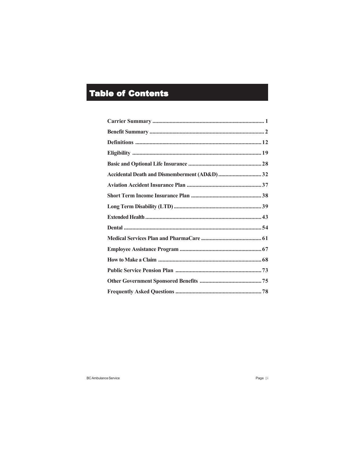# **Table of Contents**

| Accidental Death and Dismemberment (AD&D) 32 |  |
|----------------------------------------------|--|
|                                              |  |
|                                              |  |
|                                              |  |
|                                              |  |
|                                              |  |
|                                              |  |
|                                              |  |
|                                              |  |
|                                              |  |
|                                              |  |
|                                              |  |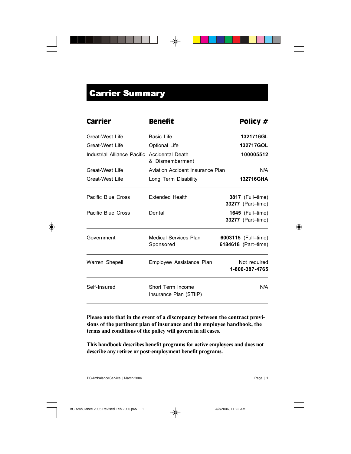# **Carrier Summary**

| Carrier                                      | <b>Benefit</b>                              | Policy #                                                 |
|----------------------------------------------|---------------------------------------------|----------------------------------------------------------|
| Great-West Life                              | Basic Life                                  | 1321716GL                                                |
| Great-West Life                              | Optional Life                               | 132717GOL                                                |
| Industrial Alliance Pacific Accidental Death | & Dismemberment                             | 100005512                                                |
| Great-West Life                              | Aviation Accident Insurance Plan            | N/A                                                      |
| Great-West Life                              | Long Term Disability                        | 132716GHA                                                |
| Pacific Blue Cross                           | <b>Extended Health</b>                      | <b>3817</b> (Full-time)<br>33277 (Part-time)             |
| Pacific Blue Cross                           | Dental                                      | <b>1645</b> (Full–time)<br><b>33277</b> (Part-time)      |
| Government                                   | Medical Services Plan<br>Sponsored          | <b>6003115</b> (Full–time)<br><b>6184618</b> (Part-time) |
| Warren Shepell                               | Employee Assistance Plan                    | Not required<br>1-800-387-4765                           |
| Self-Insured                                 | Short Term Income<br>Insurance Plan (STIIP) | N/A                                                      |

**Please note that in the event of a discrepancy between the contract provisions of the pertinent plan of insurance and the employee handbook, the terms and conditions of the policy will govern in all cases.**

**This handbook describes benefit programs for active employees and does not describe any retiree or post-employment benefit programs.**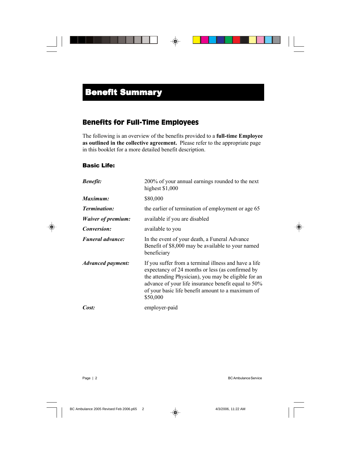### Benefits for Full-Time Employees

The following is an overview of the benefits provided to a **full-time Employee as outlined in the collective agreement.** Please refer to the appropriate page in this booklet for a more detailed benefit description.

### Basic Life:

| <b>Benefit:</b>                 | 200% of your annual earnings rounded to the next<br>highest \$1,000                                                                                                                                                                                                                       |
|---------------------------------|-------------------------------------------------------------------------------------------------------------------------------------------------------------------------------------------------------------------------------------------------------------------------------------------|
| Maximum:                        | \$80,000                                                                                                                                                                                                                                                                                  |
| <b>Termination:</b>             | the earlier of termination of employment or age 65                                                                                                                                                                                                                                        |
| <b>Waiver of premium:</b>       | available if you are disabled                                                                                                                                                                                                                                                             |
| <b>Conversion:</b>              | available to you                                                                                                                                                                                                                                                                          |
| <b>Funeral advance:</b>         | In the event of your death, a Funeral Advance<br>Benefit of \$8,000 may be available to your named<br>beneficiary                                                                                                                                                                         |
| <i><b>Advanced payment:</b></i> | If you suffer from a terminal illness and have a life<br>expectancy of 24 months or less (as confirmed by<br>the attending Physician), you may be eligible for an<br>advance of your life insurance benefit equal to 50%<br>of your basic life benefit amount to a maximum of<br>\$50,000 |
| Cost:                           | employer-paid                                                                                                                                                                                                                                                                             |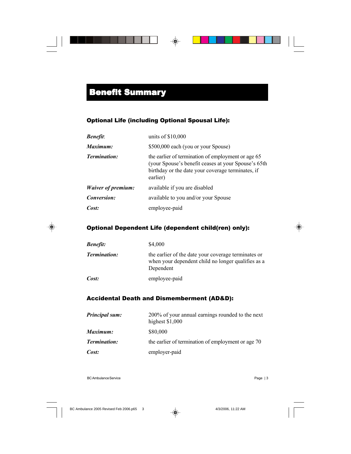### Optional Life (including Optional Spousal Life):

| <b>Benefit</b> :          | units of $$10,000$                                                                                                                                                         |
|---------------------------|----------------------------------------------------------------------------------------------------------------------------------------------------------------------------|
| Maximum:                  | \$500,000 each (you or your Spouse)                                                                                                                                        |
| <b>Termination:</b>       | the earlier of termination of employment or age 65<br>(your Spouse's benefit ceases at your Spouse's 65th<br>birthday or the date your coverage terminates, if<br>earlier) |
| <i>Waiver of premium:</i> | available if you are disabled                                                                                                                                              |
| <i>Conversion:</i>        | available to you and/or your Spouse                                                                                                                                        |
| Cost:                     | employee-paid                                                                                                                                                              |

### Optional Dependent Life (dependent child(ren) only):

| <b>Benefit:</b>     | \$4,000                                                                                                                |
|---------------------|------------------------------------------------------------------------------------------------------------------------|
| <b>Termination:</b> | the earlier of the date your coverage terminates or<br>when your dependent child no longer qualifies as a<br>Dependent |
| Cost:               | employee-paid                                                                                                          |

### Accidental Death and Dismemberment (AD&D):

| <b>Principal sum:</b> | 200% of your annual earnings rounded to the next<br>highest $$1,000$ |
|-----------------------|----------------------------------------------------------------------|
| Maximum:              | \$80,000                                                             |
| <b>Termination:</b>   | the earlier of termination of employment or age 70                   |
| Cost:                 | employer-paid                                                        |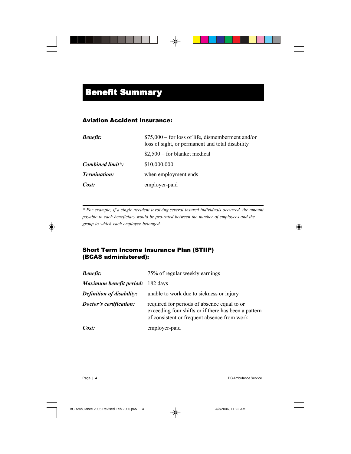### Aviation Accident Insurance:

| <b>Benefit:</b>     | $$75,000$ – for loss of life, dismemberment and/or<br>loss of sight, or permanent and total disability |
|---------------------|--------------------------------------------------------------------------------------------------------|
|                     | $$2,500$ – for blanket medical                                                                         |
| Combined limit*:    | \$10,000,000                                                                                           |
| <b>Termination:</b> | when employment ends                                                                                   |
| Cost:               | employer-paid                                                                                          |

*\* For example, if a single accident involving several insured individuals occurred, the amount payable to each beneficiary would be pro-rated between the number of employees and the group to which each employee belonged.*

### Short Term Income Insurance Plan (STIIP) (BCAS administered):

| <b>Benefit:</b>                  | 75% of regular weekly earnings                                                                                                                     |
|----------------------------------|----------------------------------------------------------------------------------------------------------------------------------------------------|
| Maximum benefit period: 182 days |                                                                                                                                                    |
| <b>Definition of disability:</b> | unable to work due to sickness or injury                                                                                                           |
| Doctor's certification:          | required for periods of absence equal to or<br>exceeding four shifts or if there has been a pattern<br>of consistent or frequent absence from work |
| Cost:                            | employer-paid                                                                                                                                      |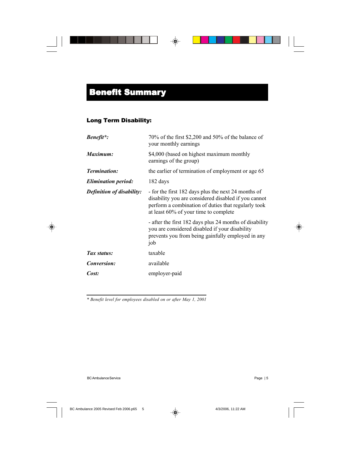### Long Term Disability:

| <b>Benefit</b> *:                | 70% of the first \$2,200 and 50% of the balance of<br>your monthly earnings                                                                                                                                 |
|----------------------------------|-------------------------------------------------------------------------------------------------------------------------------------------------------------------------------------------------------------|
| Maximum:                         | \$4,000 (based on highest maximum monthly<br>earnings of the group)                                                                                                                                         |
| <b>Termination:</b>              | the earlier of termination of employment or age 65                                                                                                                                                          |
| <b>Elimination period:</b>       | 182 days                                                                                                                                                                                                    |
| <b>Definition of disability:</b> | - for the first 182 days plus the next 24 months of<br>disability you are considered disabled if you cannot<br>perform a combination of duties that regularly took<br>at least 60% of your time to complete |
|                                  | - after the first 182 days plus 24 months of disability<br>you are considered disabled if your disability<br>prevents you from being gainfully employed in any<br>job                                       |
| Tax status:                      | taxable                                                                                                                                                                                                     |
| Conversion:                      | available                                                                                                                                                                                                   |
| Cost:                            | employer-paid                                                                                                                                                                                               |
|                                  |                                                                                                                                                                                                             |

*\* Benefit level for employees disabled on or after May 1, 2001*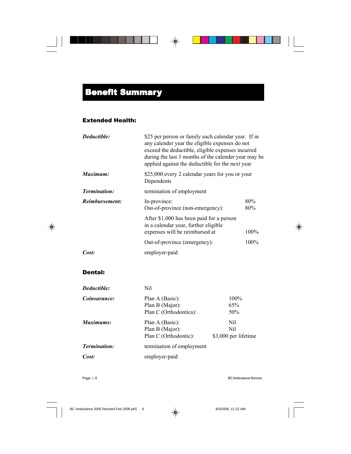### Extended Health:

| Deductible:         | \$25 per person or family each calendar year. If in<br>any calender year the eligible expenses do not<br>exceed the deductible, eligible expenses incurred<br>during the last 3 months of the calender year may be<br>applied against the deductible for the next year |                                                 |  |
|---------------------|------------------------------------------------------------------------------------------------------------------------------------------------------------------------------------------------------------------------------------------------------------------------|-------------------------------------------------|--|
| Maximum:            | Dependents                                                                                                                                                                                                                                                             | \$25,000 every 2 calendar years for you or your |  |
| <b>Termination:</b> | termination of employment                                                                                                                                                                                                                                              |                                                 |  |
| Reimbursement:      | In-province:<br>Out-of-province (non-emergency):                                                                                                                                                                                                                       | 80%<br>80%                                      |  |
|                     | After \$1,000 has been paid for a person<br>in a calendar year, further eligible<br>expenses will be reimbursed at                                                                                                                                                     | 100%                                            |  |
|                     | Out-of-province (emergency):                                                                                                                                                                                                                                           | 100%                                            |  |
| Cost:               | employer-paid                                                                                                                                                                                                                                                          |                                                 |  |

### Dental:

| Deductible:         | Nil                       |                      |
|---------------------|---------------------------|----------------------|
| Coinsurance:        | Plan A (Basic):           | 100%                 |
|                     | Plan B (Major):           | 65%                  |
|                     | Plan C (Orthodontics):    | 50%                  |
| Maximums:           | Plan A (Basic):           | Nil                  |
|                     | Plan B (Major):           | Nil                  |
|                     | Plan C (Orthodontic):     | \$3,000 per lifetime |
| <b>Termination:</b> | termination of employment |                      |
| Cost:               | employer-paid             |                      |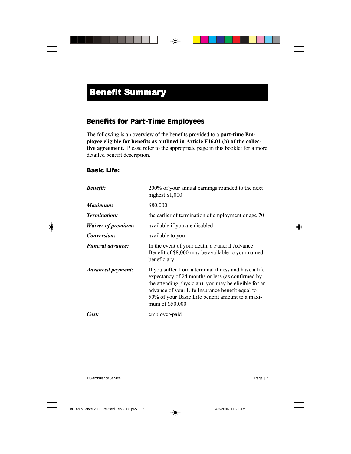### Benefits for Part-Time Employees

The following is an overview of the benefits provided to a **part-time Employee eligible for benefits as outlined in Article F16.01 (b) of the collective agreement.** Please refer to the appropriate page in this booklet for a more detailed benefit description.

### Basic Life:

| <b>Benefit:</b>           | 200% of your annual earnings rounded to the next<br>highest \$1,000                                                                                                                                                                                                                         |
|---------------------------|---------------------------------------------------------------------------------------------------------------------------------------------------------------------------------------------------------------------------------------------------------------------------------------------|
| Maximum:                  | \$80,000                                                                                                                                                                                                                                                                                    |
| <b>Termination:</b>       | the earlier of termination of employment or age 70                                                                                                                                                                                                                                          |
| <b>Waiver of premium:</b> | available if you are disabled                                                                                                                                                                                                                                                               |
| <i>Conversion:</i>        | available to you                                                                                                                                                                                                                                                                            |
| <b>Funeral advance:</b>   | In the event of your death, a Funeral Advance<br>Benefit of \$8,000 may be available to your named<br>beneficiary                                                                                                                                                                           |
| <b>Advanced payment:</b>  | If you suffer from a terminal illness and have a life<br>expectancy of 24 months or less (as confirmed by<br>the attending physician), you may be eligible for an<br>advance of your Life Insurance benefit equal to<br>50% of your Basic Life benefit amount to a maxi-<br>mum of \$50,000 |
| Cost:                     | employer-paid                                                                                                                                                                                                                                                                               |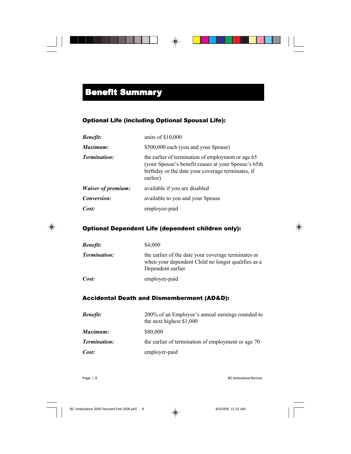### Optional Life (including Optional Spousal Life):

| <b>Benefit:</b>           | units of $$10,000$                                                                                                                                                         |
|---------------------------|----------------------------------------------------------------------------------------------------------------------------------------------------------------------------|
| Maximum:                  | \$500,000 each (you and your Spouse)                                                                                                                                       |
| <b>Termination:</b>       | the earlier of termination of employment or age 65<br>(your Spouse's benefit ceases at your Spouse's 65th<br>birthday or the date your coverage terminates, if<br>earlier) |
| <i>Waiver of premium:</i> | available if you are disabled                                                                                                                                              |
| Conversion:               | available to you and your Spouse                                                                                                                                           |
| Cost:                     | employee-paid                                                                                                                                                              |

### Optional Dependent Life (dependent children only):

| <b>Benefit:</b>     | \$4,000                                                                                                                        |
|---------------------|--------------------------------------------------------------------------------------------------------------------------------|
| <b>Termination:</b> | the earlier of the date your coverage terminates or<br>when your dependent Child no longer qualifies as a<br>Dependent earlier |
| Cost:               | employee-paid                                                                                                                  |

### Accidental Death and Dismemberment (AD&D):

| <b>Benefit:</b>     | 200% of an Employee's annual earnings rounded to<br>the next highest $$1,000$ |
|---------------------|-------------------------------------------------------------------------------|
| Maximum:            | \$80,000                                                                      |
| <b>Termination:</b> | the earlier of termination of employment or age 70                            |
| Cost:               | employer-paid                                                                 |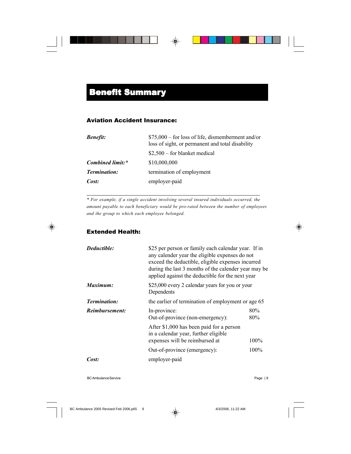### Aviation Accident Insurance:

| <b>Benefit:</b>     | $$75,000$ – for loss of life, dismemberment and/or<br>loss of sight, or permanent and total disability |
|---------------------|--------------------------------------------------------------------------------------------------------|
|                     | $$2,500$ – for blanket medical                                                                         |
| Combined limit:*    | \$10,000,000                                                                                           |
| <b>Termination:</b> | termination of employment                                                                              |
| Cost:               | employer-paid                                                                                          |

*\* For example, if a single accident involving several insured individuals occurred, the amount payable to each beneficiary would be pro-rated between the number of employees and the group to which each employee belonged.*

### Extended Health:

| Deductible:         | \$25 per person or family each calendar year. If in<br>any calender year the eligible expenses do not<br>exceed the deductible, eligible expenses incurred<br>during the last 3 months of the calender year may be<br>applied against the deductible for the next year |            |
|---------------------|------------------------------------------------------------------------------------------------------------------------------------------------------------------------------------------------------------------------------------------------------------------------|------------|
| Maximum:            | \$25,000 every 2 calendar years for you or your<br>Dependents                                                                                                                                                                                                          |            |
| <b>Termination:</b> | the earlier of termination of employment or age 65                                                                                                                                                                                                                     |            |
| Reimbursement:      | In-province:<br>Out-of-province (non-emergency):                                                                                                                                                                                                                       | 80%<br>80% |
|                     | After \$1,000 has been paid for a person<br>in a calendar year, further eligible<br>expenses will be reimbursed at                                                                                                                                                     | 100%       |
|                     | Out-of-province (emergency):                                                                                                                                                                                                                                           | 100%       |
| Cost:               | employer-paid                                                                                                                                                                                                                                                          |            |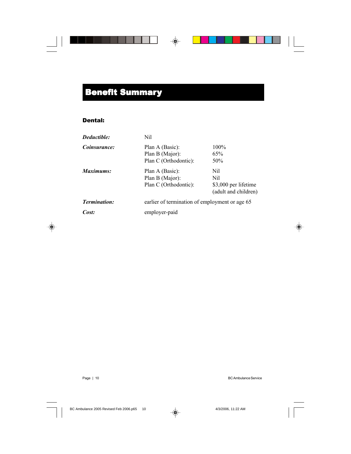## **Benefit Summary**

### Dental:

| Deductible:         | Nil                   |                                                |  |
|---------------------|-----------------------|------------------------------------------------|--|
| Coinsurance:        | Plan A (Basic):       | 100%                                           |  |
|                     | Plan B (Major):       | 65%                                            |  |
|                     | Plan C (Orthodontic): | 50%                                            |  |
| Maximums:           | Plan A (Basic):       | Nil                                            |  |
|                     | Plan B (Major):       | Nil                                            |  |
|                     | Plan C (Orthodontic): | \$3,000 per lifetime                           |  |
|                     |                       | (adult and children)                           |  |
| <b>Termination:</b> |                       | earlier of termination of employment or age 65 |  |
| Cost:               | employer-paid         |                                                |  |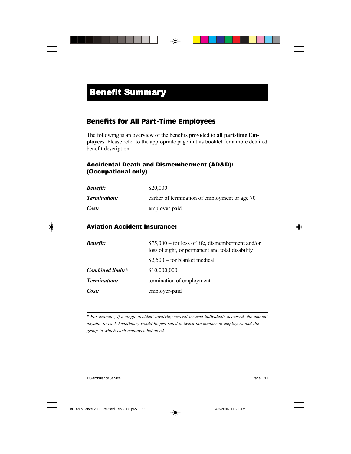### Benefits for All Part-Time Employees

The following is an overview of the benefits provided to **all part-time Employees**. Please refer to the appropriate page in this booklet for a more detailed benefit description.

### Accidental Death and Dismemberment (AD&D): (Occupational only)

| <b>Benefit:</b>     | \$20,000                                       |
|---------------------|------------------------------------------------|
| <b>Termination:</b> | earlier of termination of employment or age 70 |
| Cost:               | employer-paid                                  |

### Aviation Accident Insurance:

| <b>Benefit:</b>     | $$75,000 - for loss of life, dismemberment and/or$<br>loss of sight, or permanent and total disability |
|---------------------|--------------------------------------------------------------------------------------------------------|
|                     | $$2,500$ – for blanket medical                                                                         |
| Combined limit:*    | \$10,000,000                                                                                           |
| <b>Termination:</b> | termination of employment                                                                              |
| Cost:               | employer-paid                                                                                          |

*\* For example, if a single accident involving several insured individuals occurred, the amount payable to each beneficiary would be pro-rated between the number of employees and the group to which each employee belonged.*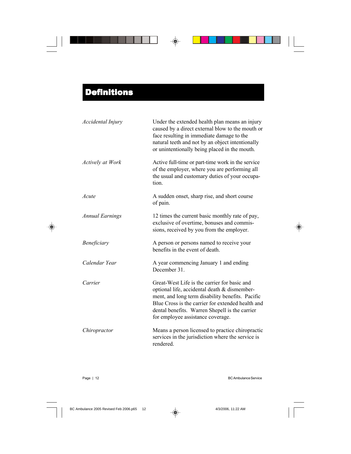| Accidental Injury      | Under the extended health plan means an injury<br>caused by a direct external blow to the mouth or<br>face resulting in immediate damage to the<br>natural teeth and not by an object intentionally<br>or unintentionally being placed in the mouth.                                         |
|------------------------|----------------------------------------------------------------------------------------------------------------------------------------------------------------------------------------------------------------------------------------------------------------------------------------------|
| Actively at Work       | Active full-time or part-time work in the service<br>of the employer, where you are performing all<br>the usual and customary duties of your occupa-<br>tion.                                                                                                                                |
| Acute                  | A sudden onset, sharp rise, and short course<br>of pain.                                                                                                                                                                                                                                     |
| <b>Annual Earnings</b> | 12 times the current basic monthly rate of pay,<br>exclusive of overtime, bonuses and commis-<br>sions, received by you from the employer.                                                                                                                                                   |
| Beneficiary            | A person or persons named to receive your<br>benefits in the event of death.                                                                                                                                                                                                                 |
| Calendar Year          | A year commencing January 1 and ending<br>December 31.                                                                                                                                                                                                                                       |
| Carrier                | Great-West Life is the carrier for basic and<br>optional life, accidental death & dismember-<br>ment, and long term disability benefits. Pacific<br>Blue Cross is the carrier for extended health and<br>dental benefits. Warren Shepell is the carrier<br>for employee assistance coverage. |
| Chiropractor           | Means a person licensed to practice chiropractic<br>services in the jurisdiction where the service is<br>rendered.                                                                                                                                                                           |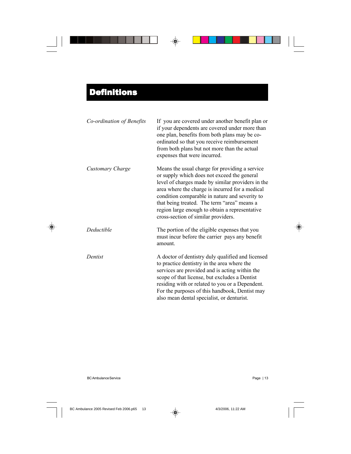| Co-ordination of Benefits | If you are covered under another benefit plan or<br>if your dependents are covered under more than<br>one plan, benefits from both plans may be co-<br>ordinated so that you receive reimbursement<br>from both plans but not more than the actual<br>expenses that were incurred.                                                                                                              |
|---------------------------|-------------------------------------------------------------------------------------------------------------------------------------------------------------------------------------------------------------------------------------------------------------------------------------------------------------------------------------------------------------------------------------------------|
| Customary Charge          | Means the usual charge for providing a service<br>or supply which does not exceed the general<br>level of charges made by similar providers in the<br>area where the charge is incurred for a medical<br>condition comparable in nature and severity to<br>that being treated. The term "area" means a<br>region large enough to obtain a representative<br>cross-section of similar providers. |
| Deductible                | The portion of the eligible expenses that you<br>must incur before the carrier pays any benefit<br>amount.                                                                                                                                                                                                                                                                                      |
| Dentist                   | A doctor of dentistry duly qualified and licensed<br>to practice dentistry in the area where the<br>services are provided and is acting within the<br>scope of that license, but excludes a Dentist<br>residing with or related to you or a Dependent.<br>For the purposes of this handbook, Dentist may<br>also mean dental specialist, or denturist.                                          |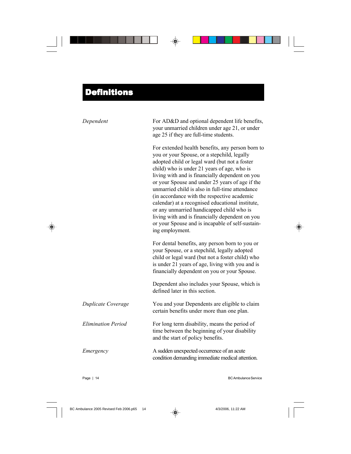| Dependent                 | For AD&D and optional dependent life benefits,<br>your unmarried children under age 21, or under<br>age 25 if they are full-time students.                                                                                                                                                                                                                                                                                                                                                                                                                                                                                         |
|---------------------------|------------------------------------------------------------------------------------------------------------------------------------------------------------------------------------------------------------------------------------------------------------------------------------------------------------------------------------------------------------------------------------------------------------------------------------------------------------------------------------------------------------------------------------------------------------------------------------------------------------------------------------|
|                           | For extended health benefits, any person born to<br>you or your Spouse, or a stepchild, legally<br>adopted child or legal ward (but not a foster<br>child) who is under 21 years of age, who is<br>living with and is financially dependent on you<br>or your Spouse and under 25 years of age if the<br>unmarried child is also in full-time attendance<br>(in accordance with the respective academic<br>calendar) at a recognised educational institute,<br>or any unmarried handicapped child who is<br>living with and is financially dependent on you<br>or your Spouse and is incapable of self-sustain-<br>ing employment. |
|                           | For dental benefits, any person born to you or<br>your Spouse, or a stepchild, legally adopted<br>child or legal ward (but not a foster child) who<br>is under 21 years of age, living with you and is<br>financially dependent on you or your Spouse.                                                                                                                                                                                                                                                                                                                                                                             |
|                           | Dependent also includes your Spouse, which is<br>defined later in this section.                                                                                                                                                                                                                                                                                                                                                                                                                                                                                                                                                    |
| Duplicate Coverage        | You and your Dependents are eligible to claim<br>certain benefits under more than one plan.                                                                                                                                                                                                                                                                                                                                                                                                                                                                                                                                        |
| <b>Elimination Period</b> | For long term disability, means the period of<br>time between the beginning of your disability<br>and the start of policy benefits.                                                                                                                                                                                                                                                                                                                                                                                                                                                                                                |
| Emergency                 | A sudden unexpected occurrence of an acute<br>condition demanding immediate medical attention.                                                                                                                                                                                                                                                                                                                                                                                                                                                                                                                                     |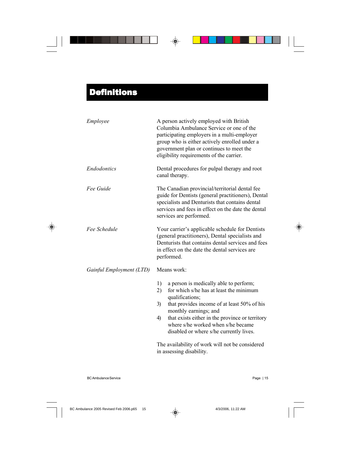| Employee                 | A person actively employed with British<br>Columbia Ambulance Service or one of the<br>participating employers in a multi-employer<br>group who is either actively enrolled under a<br>government plan or continues to meet the<br>eligibility requirements of the carrier.                                                                            |
|--------------------------|--------------------------------------------------------------------------------------------------------------------------------------------------------------------------------------------------------------------------------------------------------------------------------------------------------------------------------------------------------|
| <b>Endodontics</b>       | Dental procedures for pulpal therapy and root<br>canal therapy.                                                                                                                                                                                                                                                                                        |
| Fee Guide                | The Canadian provincial/territorial dental fee<br>guide for Dentists (general practitioners), Dental<br>specialists and Denturists that contains dental<br>services and fees in effect on the date the dental<br>services are performed.                                                                                                               |
| Fee Schedule             | Your carrier's applicable schedule for Dentists<br>(general practitioners), Dental specialists and<br>Denturists that contains dental services and fees<br>in effect on the date the dental services are<br>performed.                                                                                                                                 |
| Gainful Employment (LTD) | Means work:                                                                                                                                                                                                                                                                                                                                            |
|                          | 1)<br>a person is medically able to perform;<br>for which s/he has at least the minimum<br>2)<br>qualifications;<br>that provides income of at least 50% of his<br>3)<br>monthly earnings; and<br>that exists either in the province or territory<br>$\left(4\right)$<br>where s/he worked when s/he became<br>disabled or where s/he currently lives. |
|                          | The availability of work will not be considered<br>in assessing disability.                                                                                                                                                                                                                                                                            |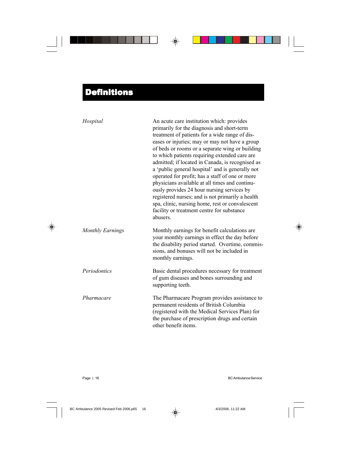| Hospital                | An acute care institution which: provides<br>primarily for the diagnosis and short-term<br>treatment of patients for a wide range of dis-<br>eases or injuries; may or may not have a group<br>of beds or rooms or a separate wing or building<br>to which patients requiring extended care are<br>admitted; if located in Canada, is recognised as<br>a 'public general hospital' and is generally not<br>operated for profit; has a staff of one or more<br>physicians available at all times and continu-<br>ously provides 24 hour nursing services by<br>registered nurses; and is not primarily a health<br>spa, clinic, nursing home, rest or convalescent<br>facility or treatment centre for substance<br>abusers. |
|-------------------------|-----------------------------------------------------------------------------------------------------------------------------------------------------------------------------------------------------------------------------------------------------------------------------------------------------------------------------------------------------------------------------------------------------------------------------------------------------------------------------------------------------------------------------------------------------------------------------------------------------------------------------------------------------------------------------------------------------------------------------|
| <b>Monthly Earnings</b> | Monthly earnings for benefit calculations are<br>your monthly earnings in effect the day before<br>the disability period started. Overtime, commis-<br>sions, and bonuses will not be included in<br>monthly earnings.                                                                                                                                                                                                                                                                                                                                                                                                                                                                                                      |
| Periodontics            | Basic dental procedures necessary for treatment<br>of gum diseases and bones surrounding and<br>supporting teeth.                                                                                                                                                                                                                                                                                                                                                                                                                                                                                                                                                                                                           |
| Pharmacare              | The Pharmacare Program provides assistance to<br>permanent residents of British Columbia<br>(registered with the Medical Services Plan) for<br>the purchase of prescription drugs and certain<br>other benefit items.                                                                                                                                                                                                                                                                                                                                                                                                                                                                                                       |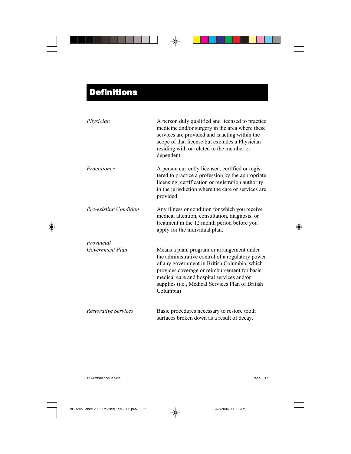| Physician                   | A person duly qualified and licensed to practice<br>medicine and/or surgery in the area where these<br>services are provided and is acting within the<br>scope of that license but excludes a Physician<br>residing with or related to the member or<br>dependent.                                           |
|-----------------------------|--------------------------------------------------------------------------------------------------------------------------------------------------------------------------------------------------------------------------------------------------------------------------------------------------------------|
| Practitioner                | A person currently licensed, certified or regis-<br>tered to practice a profession by the appropriate<br>licensing, certification or registration authority<br>in the jurisdiction where the care or services are<br>provided.                                                                               |
| Pre-existing Condition      | Any illness or condition for which you receive<br>medical attention, consultation, diagnosis, or<br>treatment in the 12 month period before you<br>apply for the individual plan.                                                                                                                            |
| Provincial                  |                                                                                                                                                                                                                                                                                                              |
| Government Plan             | Means a plan, program or arrangement under<br>the administrative control of a regulatory power<br>of any government in British Columbia, which<br>provides coverage or reimbursement for basic<br>medical care and hospital services and/or<br>supplies (i.e., Medical Services Plan of British<br>Columbia) |
| <b>Restorative Services</b> | Basic procedures necessary to restore tooth<br>surfaces broken down as a result of decay.                                                                                                                                                                                                                    |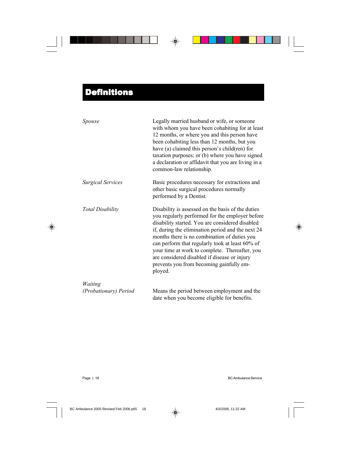| Spouse                   | Legally married husband or wife, or someone<br>with whom you have been cohabiting for at least<br>12 months, or where you and this person have<br>been cohabiting less than 12 months, but you<br>have (a) claimed this person's child(ren) for<br>taxation purposes; or (b) where you have signed<br>a declaration or affidavit that you are living in a<br>common-law relationship.                                                                                    |
|--------------------------|--------------------------------------------------------------------------------------------------------------------------------------------------------------------------------------------------------------------------------------------------------------------------------------------------------------------------------------------------------------------------------------------------------------------------------------------------------------------------|
| <b>Surgical Services</b> | Basic procedures necessary for extractions and<br>other basic surgical procedures normally<br>performed by a Dentist.                                                                                                                                                                                                                                                                                                                                                    |
| <b>Total Disability</b>  | Disability is assessed on the basis of the duties<br>you regularly performed for the employer before<br>disability started. You are considered disabled<br>if, during the elimination period and the next 24<br>months there is no combination of duties you<br>can perform that regularly took at least 60% of<br>your time at work to complete. Thereafter, you<br>are considered disabled if disease or injury<br>prevents you from becoming gainfully em-<br>ployed. |
| Waiting                  |                                                                                                                                                                                                                                                                                                                                                                                                                                                                          |
| (Probationary) Period    | Means the period between employment and the<br>date when you become eligible for benefits.                                                                                                                                                                                                                                                                                                                                                                               |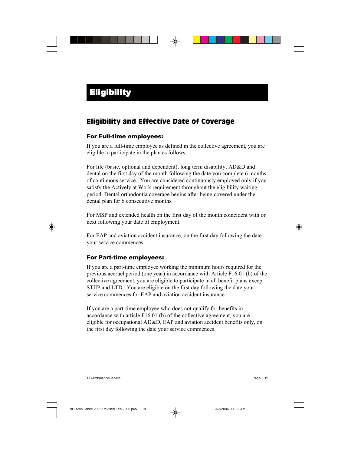### Eligibility and Effective Date of Coverage

#### For Full-time employees:

If you are a full-time employee as defined in the collective agreement, you are eligible to participate in the plan as follows:

For life (basic, optional and dependent), long term disability, AD&D and dental on the first day of the month following the date you complete 6 months of continuous service. You are considered continuously employed only if you satisfy the Actively at Work requirement throughout the eligibility waiting period. Dental orthodontia coverage begins after being covered under the dental plan for 6 consecutive months.

For MSP and extended health on the first day of the month coincident with or next following your date of employment.

For EAP and aviation accident insurance, on the first day following the date your service commences.

### For Part-time employees:

If you are a part-time employee working the minimum hours required for the previous accruel period (one year) in accordance with Article F16.01 (b) of the collective agreement, you are eligible to participate in all benefit plans except STIIP and LTD. You are eligible on the first day following the date your service commences for EAP and aviation accident insurance.

If you are a part-time employee who does not qualify for benefits in accordance with article F16.01 (b) of the collective agreement, you are eligible for occupational AD&D, EAP and aviation accident benefits only, on the first day following the date your service commences.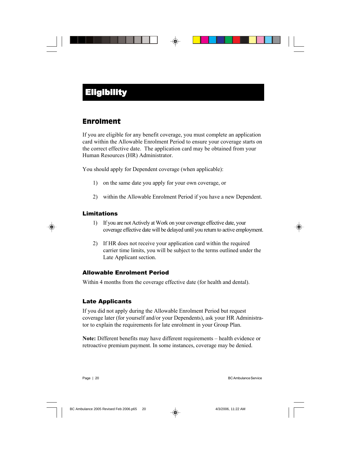### Enrolment

If you are eligible for any benefit coverage, you must complete an application card within the Allowable Enrolment Period to ensure your coverage starts on the correct effective date. The application card may be obtained from your Human Resources (HR) Administrator.

You should apply for Dependent coverage (when applicable):

- 1) on the same date you apply for your own coverage, or
- 2) within the Allowable Enrolment Period if you have a new Dependent.

### Limitations

- 1) If you are not Actively at Work on your coverage effective date, your coverage effective date will be delayed until you return to active employment.
- 2) If HR does not receive your application card within the required carrier time limits, you will be subject to the terms outlined under the Late Applicant section.

#### Allowable Enrolment Period

Within 4 months from the coverage effective date (for health and dental).

### Late Applicants

If you did not apply during the Allowable Enrolment Period but request coverage later (for yourself and/or your Dependents), ask your HR Administrator to explain the requirements for late enrolment in your Group Plan.

**Note:** Different benefits may have different requirements – health evidence or retroactive premium payment. In some instances, coverage may be denied.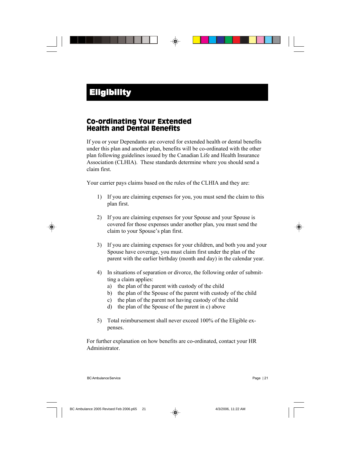### Co-ordinating Your Extended Health and Dental Benefits

If you or your Dependants are covered for extended health or dental benefits under this plan and another plan, benefits will be co-ordinated with the other plan following guidelines issued by the Canadian Life and Health Insurance Association (CLHIA). These standards determine where you should send a claim first.

Your carrier pays claims based on the rules of the CLHIA and they are:

- 1) If you are claiming expenses for you, you must send the claim to this plan first.
- 2) If you are claiming expenses for your Spouse and your Spouse is covered for those expenses under another plan, you must send the claim to your Spouse's plan first.
- 3) If you are claiming expenses for your children, and both you and your Spouse have coverage, you must claim first under the plan of the parent with the earlier birthday (month and day) in the calendar year.
- 4) In situations of separation or divorce, the following order of submitting a claim applies:
	- a) the plan of the parent with custody of the child
	- b) the plan of the Spouse of the parent with custody of the child
	- c) the plan of the parent not having custody of the child
	- d) the plan of the Spouse of the parent in c) above
- 5) Total reimbursement shall never exceed 100% of the Eligible expenses.

For further explanation on how benefits are co-ordinated, contact your HR Administrator.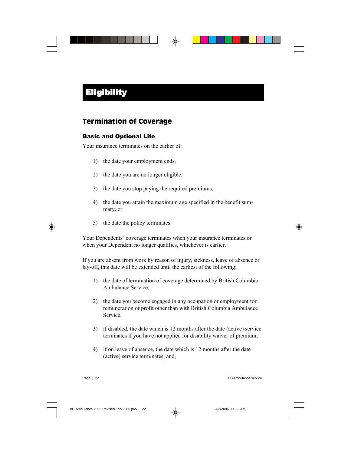### Termination of Coverage

### Basic and Optional Life

Your insurance terminates on the earlier of:

- 1) the date your employment ends,
- 2) the date you are no longer eligible,
- 3) the date you stop paying the required premiums,
- 4) the date you attain the maximum age specified in the benefit summary, or
- 5) the date the policy terminates.

Your Dependents' coverage terminates when your insurance terminates or when your Dependent no longer qualifies, whichever is earlier.

If you are absent from work by reason of injury, sickness, leave of absence or lay-off, this date will be extended until the earliest of the following:

- 1) the date of termination of coverage determined by British Columbia Ambulance Service;
- 2) the date you become engaged in any occupation or employment for remuneration or profit other than with British Columbia Ambulance Service;
- 3) if disabled, the date which is 12 months after the date (active) service terminates if you have not applied for disability waiver of premium;
- 4) if on leave of absence, the date which is 12 months after the date (active) service terminates; and,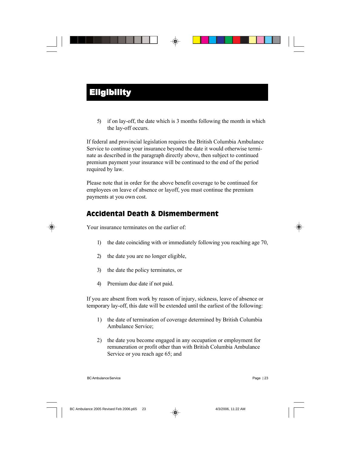5) if on lay-off, the date which is 3 months following the month in which the lay-off occurs.

If federal and provincial legislation requires the British Columbia Ambulance Service to continue your insurance beyond the date it would otherwise terminate as described in the paragraph directly above, then subject to continued premium payment your insurance will be continued to the end of the period required by law.

Please note that in order for the above benefit coverage to be continued for employees on leave of absence or layoff, you must continue the premium payments at you own cost.

### Accidental Death & Dismemberment

Your insurance terminates on the earlier of:

- 1) the date coinciding with or immediately following you reaching age 70,
- 2) the date you are no longer eligible,
- 3) the date the policy terminates, or
- 4) Premium due date if not paid.

If you are absent from work by reason of injury, sickness, leave of absence or temporary lay-off, this date will be extended until the earliest of the following:

- 1) the date of termination of coverage determined by British Columbia Ambulance Service;
- 2) the date you become engaged in any occupation or employment for remuneration or profit other than with British Columbia Ambulance Service or you reach age 65; and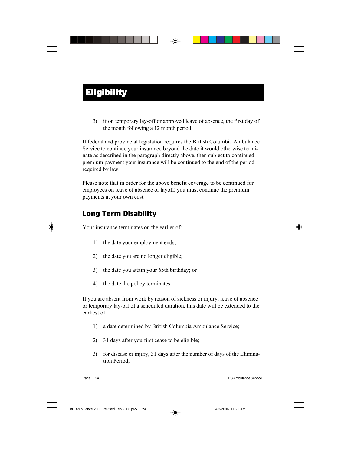3) if on temporary lay-off or approved leave of absence, the first day of the month following a 12 month period.

If federal and provincial legislation requires the British Columbia Ambulance Service to continue your insurance beyond the date it would otherwise terminate as described in the paragraph directly above, then subject to continued premium payment your insurance will be continued to the end of the period required by law.

Please note that in order for the above benefit coverage to be continued for employees on leave of absence or layoff, you must continue the premium payments at your own cost.

## Long Term Disability

Your insurance terminates on the earlier of:

- 1) the date your employment ends;
- 2) the date you are no longer eligible;
- 3) the date you attain your 65th birthday; or
- 4) the date the policy terminates.

If you are absent from work by reason of sickness or injury, leave of absence or temporary lay-off of a scheduled duration, this date will be extended to the earliest of:

- 1) a date determined by British Columbia Ambulance Service;
- 2) 31 days after you first cease to be eligible;
- 3) for disease or injury, 31 days after the number of days of the Elimination Period;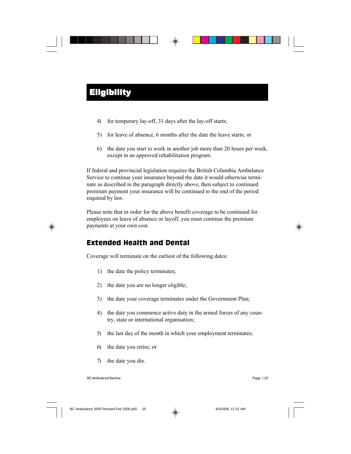- 4) for temporary lay-off, 31 days after the lay-off starts;
- 5) for leave of absence, 6 months after the date the leave starts; or
- 6) the date you start to work in another job more than 20 hours per week, except in an approved rehabilitation program.

If federal and provincial legislation requires the British Columbia Ambulance Service to continue your insurance beyond the date it would otherwise terminate as described in the paragraph directly above, then subject to continued premium payment your insurance will be continued to the end of the period required by law.

Please note that in order for the above benefit coverage to be continued for employees on leave of absence or layoff, you must continue the premium payments at your own cost.

### Extended Health and Dental

Coverage will terminate on the earliest of the following dates:

- 1) the date the policy terminates;
- 2) the date you are no longer eligible;
- 3) the date your coverage terminates under the Government Plan;
- 4) the date you commence active duty in the armed forces of any country, state or international organisation;
- 5) the last day of the month in which your employment terminates;
- 6) the date you retire; or
- 7) the date you die.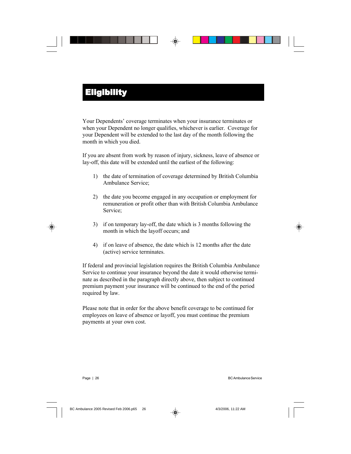Your Dependents' coverage terminates when your insurance terminates or when your Dependent no longer qualifies, whichever is earlier. Coverage for your Dependent will be extended to the last day of the month following the month in which you died.

If you are absent from work by reason of injury, sickness, leave of absence or lay-off, this date will be extended until the earliest of the following:

- 1) the date of termination of coverage determined by British Columbia Ambulance Service;
- 2) the date you become engaged in any occupation or employment for remuneration or profit other than with British Columbia Ambulance Service;
- 3) if on temporary lay-off, the date which is 3 months following the month in which the layoff occurs; and
- 4) if on leave of absence, the date which is 12 months after the date (active) service terminates.

If federal and provincial legislation requires the British Columbia Ambulance Service to continue your insurance beyond the date it would otherwise terminate as described in the paragraph directly above, then subject to continued premium payment your insurance will be continued to the end of the period required by law.

Please note that in order for the above benefit coverage to be continued for employees on leave of absence or layoff, you must continue the premium payments at your own cost.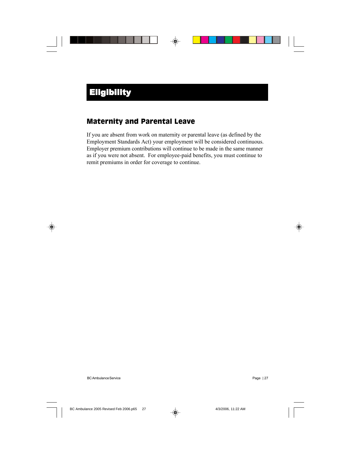### Maternity and Parental Leave

If you are absent from work on maternity or parental leave (as defined by the Employment Standards Act) your employment will be considered continuous. Employer premium contributions will continue to be made in the same manner as if you were not absent. For employee-paid benefits, you must continue to remit premiums in order for coverage to continue.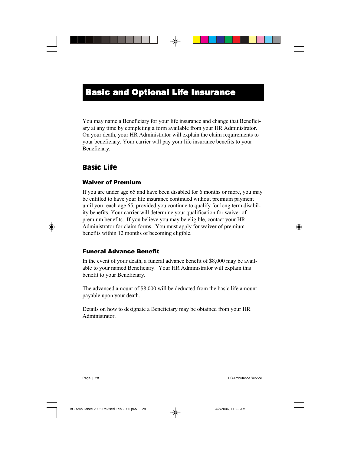You may name a Beneficiary for your life insurance and change that Beneficiary at any time by completing a form available from your HR Administrator. On your death, your HR Administrator will explain the claim requirements to your beneficiary. Your carrier will pay your life insurance benefits to your Beneficiary.

### Basic Life

### Waiver of Premium

If you are under age 65 and have been disabled for 6 months or more, you may be entitled to have your life insurance continued without premium payment until you reach age 65, provided you continue to qualify for long term disability benefits. Your carrier will determine your qualification for waiver of premium benefits. If you believe you may be eligible, contact your HR Administrator for claim forms. You must apply for waiver of premium benefits within 12 months of becoming eligible.

### Funeral Advance Benefit

In the event of your death, a funeral advance benefit of \$8,000 may be available to your named Beneficiary. Your HR Administrator will explain this benefit to your Beneficiary.

The advanced amount of \$8,000 will be deducted from the basic life amount payable upon your death.

Details on how to designate a Beneficiary may be obtained from your HR Administrator.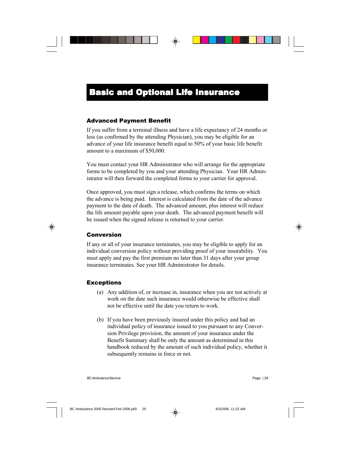#### Advanced Payment Benefit

If you suffer from a terminal illness and have a life expectancy of 24 months or less (as confirmed by the attending Physician), you may be eligible for an advance of your life insurance benefit equal to 50% of your basic life benefit amount to a maximum of \$50,000.

You must contact your HR Administrator who will arrange for the appropriate forms to be completed by you and your attending Physician. Your HR Administrator will then forward the completed forms to your carrier for approval.

Once approved, you must sign a release, which confirms the terms on which the advance is being paid. Interest is calculated from the date of the advance payment to the date of death. The advanced amount, plus interest will reduce the life amount payable upon your death. The advanced payment benefit will be issued when the signed release is returned to your carrier.

#### Conversion

If any or all of your insurance terminates, you may be eligible to apply for an individual conversion policy without providing proof of your insurability. You must apply and pay the first premium no later than 31 days after your group insurance terminates. See your HR Administrator for details.

#### **Exceptions**

- (a) Any addition of, or increase in, insurance when you are not actively at work on the date such insurance would otherwise be effective shall not be effective until the date you return to work.
- (b) If you have been previously insured under this policy and had an individual policy of insurance issued to you pursuant to any Conversion Privilege provision, the amount of your insurance under the Benefit Summary shall be only the amount as determined in this handbook reduced by the amount of such individual policy, whether it subsequently remains in force or not.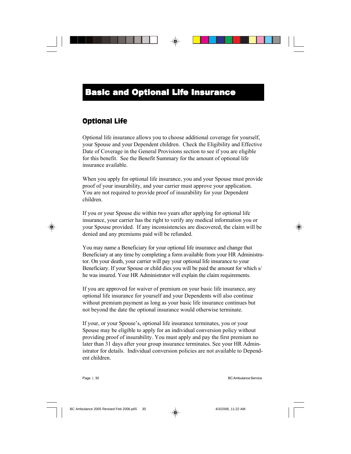### Optional Life

Optional life insurance allows you to choose additional coverage for yourself, your Spouse and your Dependent children. Check the Eligibility and Effective Date of Coverage in the General Provisions section to see if you are eligible for this benefit. See the Benefit Summary for the amount of optional life insurance available.

When you apply for optional life insurance, you and your Spouse must provide proof of your insurability, and your carrier must approve your application. You are not required to provide proof of insurability for your Dependent children.

If you or your Spouse die within two years after applying for optional life insurance, your carrier has the right to verify any medical information you or your Spouse provided. If any inconsistencies are discovered, the claim will be denied and any premiums paid will be refunded.

You may name a Beneficiary for your optional life insurance and change that Beneficiary at any time by completing a form available from your HR Administrator. On your death, your carrier will pay your optional life insurance to your Beneficiary. If your Spouse or child dies you will be paid the amount for which s/ he was insured. Your HR Administrator will explain the claim requirements.

If you are approved for waiver of premium on your basic life insurance, any optional life insurance for yourself and your Dependents will also continue without premium payment as long as your basic life insurance continues but not beyond the date the optional insurance would otherwise terminate.

If your, or your Spouse's, optional life insurance terminates, you or your Spouse may be eligible to apply for an individual conversion policy without providing proof of insurability. You must apply and pay the first premium no later than 31 days after your group insurance terminates. See your HR Administrator for details. Individual conversion policies are not available to Dependent children.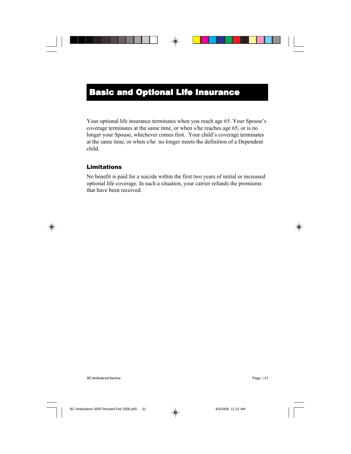Your optional life insurance terminates when you reach age 65. Your Spouse's coverage terminates at the same time, or when s/he reaches age 65, or is no longer your Spouse, whichever comes first. Your child's coverage terminates at the same time, or when s/he no longer meets the definition of a Dependent child.

### Limitations

No benefit is paid for a suicide within the first two years of initial or increased optional life coverage. In such a situation, your carrier refunds the premiums that have been received.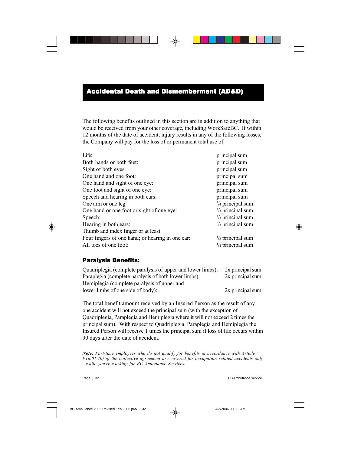### Accidental Death and Dismemberment (AD&D)

The following benefits outlined in this section are in addition to anything that would be received from your other coverage, including WorkSafeBC. If within 12 months of the date of accident, injury results in any of the following losses, the Company will pay for the loss of or permanent total use of:

| Life:                                            | principal sum               |
|--------------------------------------------------|-----------------------------|
| Both hands or both feet:                         | principal sum               |
| Sight of both eyes:                              | principal sum               |
| One hand and one foot:                           | principal sum               |
| One hand and sight of one eye:                   | principal sum               |
| One foot and sight of one eye:                   | principal sum               |
| Speech and hearing in both ears:                 | principal sum               |
| One arm or one leg:                              | $\frac{3}{4}$ principal sum |
| One hand or one foot or sight of one eye:        | $\frac{2}{3}$ principal sum |
| Speech:                                          | $\frac{2}{3}$ principal sum |
| Hearing in both ears:                            | $\frac{2}{3}$ principal sum |
| Thumb and index finger or at least               |                             |
| Four fingers of one hand; or hearing in one ear: | $\frac{1}{3}$ principal sum |
| All toes of one foot:                            | $\frac{1}{4}$ principal sum |
|                                                  |                             |

### Paralysis Benefits:

| Quadriplegia (complete paralysis of upper and lower limbs): | 2x principal sum |
|-------------------------------------------------------------|------------------|
| Paraplegia (complete paralysis of both lower limbs):        | 2x principal sum |
| Hemiplegia (complete paralysis of upper and                 |                  |
| lower limbs of one side of body):                           | 2x principal sum |

The total benefit amount received by an Insured Person as the result of any one accident will not exceed the principal sum (with the exception of Quadriplegia, Paraplegia and Hemiplegia where it will not exceed 2 times the principal sum). With respect to Quadriplegia, Paraplegia and Hemiplegia the Insured Person will receive 1 times the principal sum if loss of life occurs within 90 days after the date of accident.

*Note: Part-time employees who do not qualify for benefits in accordance with Article F16.01 (b) of the collective agreement are covered for occupation related accidents only - while you're working for BC Ambulance Services.*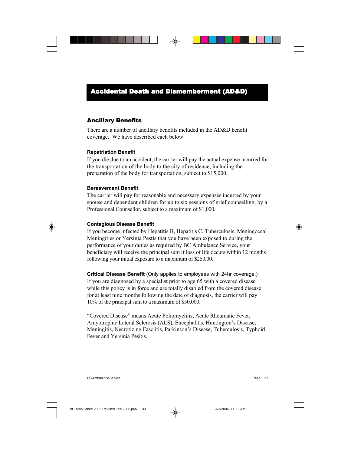### Accidental Death and Dismemberment (AD&D)

#### Ancillary Benefits

There are a number of ancillary benefits included in the AD&D benefit coverage. We have described each below.

#### **Repatriation Benefit**

If you die due to an accident, the carrier will pay the actual expense incurred for the transportation of the body to the city of residence, including the preparation of the body for transportation, subject to \$15,000.

#### **Bereavement Benefit**

The carrier will pay for reasonable and necessary expenses incurred by your spouse and dependent children for up to six sessions of grief counselling, by a Professional Counsellor, subject to a maximum of \$1,000.

#### **Contagious Disease Benefit**

If you become infected by Hepatitis B, Hepatitis C, Tuberculosis, Meningoccal Meningities or Yersinia Pestis that you have been exposed to during the performance of your duties as required by BC Ambulance Service, your beneficiary will receive the principal sum if loss of life occurs within 12 months following your initial exposure to a maximum of \$25,000.

**Critical Disease Benefit** (Only applies to employees with 24hr coverage.) If you are diagnosed by a specialist prior to age 65 with a covered disease while this policy is in force and are totally disabled from the covered disease for at least nine months following the date of diagnosis, the carrier will pay 10% of the principal sum to a maximum of \$50,000.

"Covered Disease" means Acute Poliomyelitis, Acute Rheumatic Fever, Amyotrophic Lateral Sclerosis (ALS), Encephalitis, Huntington's Disease, Meningitis, Necrotizing Fasciitis, Parkinson's Disease, Tuberculosis, Typhoid Fever and Yersinia Pesitis.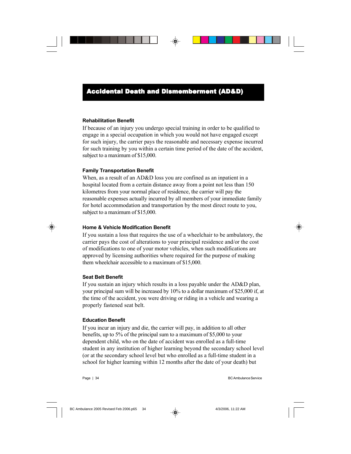#### **Rehabilitation Benefit**

If because of an injury you undergo special training in order to be qualified to engage in a special occupation in which you would not have engaged except for such injury, the carrier pays the reasonable and necessary expense incurred for such training by you within a certain time period of the date of the accident, subject to a maximum of \$15,000.

#### **Family Transportation Benefit**

When, as a result of an AD&D loss you are confined as an inpatient in a hospital located from a certain distance away from a point not less than 150 kilometres from your normal place of residence, the carrier will pay the reasonable expenses actually incurred by all members of your immediate family for hotel accommodation and transportation by the most direct route to you, subject to a maximum of \$15,000.

#### **Home & Vehicle Modification Benefit**

If you sustain a loss that requires the use of a wheelchair to be ambulatory, the carrier pays the cost of alterations to your principal residence and/or the cost of modifications to one of your motor vehicles, when such modifications are approved by licensing authorities where required for the purpose of making them wheelchair accessible to a maximum of \$15,000.

#### **Seat Belt Benefit**

If you sustain an injury which results in a loss payable under the AD&D plan, your principal sum will be increased by 10% to a dollar maximum of \$25,000 if, at the time of the accident, you were driving or riding in a vehicle and wearing a properly fastened seat belt.

#### **Education Benefit**

If you incur an injury and die, the carrier will pay, in addition to all other benefits, up to 5% of the principal sum to a maximum of \$5,000 to your dependent child, who on the date of accident was enrolled as a full-time student in any institution of higher learning beyond the secondary school level (or at the secondary school level but who enrolled as a full-time student in a school for higher learning within 12 months after the date of your death) but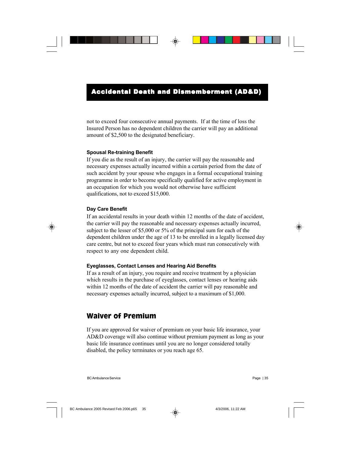not to exceed four consecutive annual payments. If at the time of loss the Insured Person has no dependent children the carrier will pay an additional amount of \$2,500 to the designated beneficiary.

### **Spousal Re-training Benefit**

If you die as the result of an injury, the carrier will pay the reasonable and necessary expenses actually incurred within a certain period from the date of such accident by your spouse who engages in a formal occupational training programme in order to become specifically qualified for active employment in an occupation for which you would not otherwise have sufficient qualifications, not to exceed \$15,000.

### **Day Care Benefit**

If an accidental results in your death within 12 months of the date of accident, the carrier will pay the reasonable and necessary expenses actually incurred, subject to the lesser of \$5,000 or 5% of the principal sum for each of the dependent children under the age of 13 to be enrolled in a legally licensed day care centre, but not to exceed four years which must run consecutively with respect to any one dependent child.

### **Eyeglasses, Contact Lenses and Hearing Aid Benefits**

If as a result of an injury, you require and receive treatment by a physician which results in the purchase of eyeglasses, contact lenses or hearing aids within 12 months of the date of accident the carrier will pay reasonable and necessary expenses actually incurred, subject to a maximum of \$1,000.

## Waiver of Premium

If you are approved for waiver of premium on your basic life insurance, your AD&D coverage will also continue without premium payment as long as your basic life insurance continues until you are no longer considered totally disabled, the policy terminates or you reach age 65.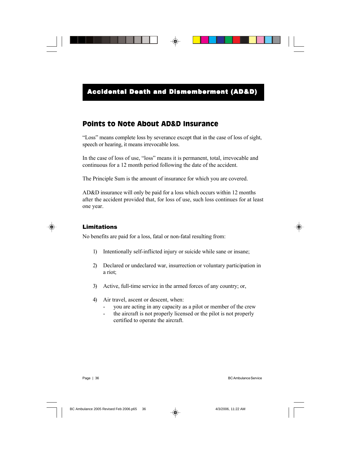## Points to Note About AD&D Insurance

"Loss" means complete loss by severance except that in the case of loss of sight, speech or hearing, it means irrevocable loss.

In the case of loss of use, "loss" means it is permanent, total, irrevocable and continuous for a 12 month period following the date of the accident.

The Principle Sum is the amount of insurance for which you are covered.

AD&D insurance will only be paid for a loss which occurs within 12 months after the accident provided that, for loss of use, such loss continues for at least one year.

### Limitations

No benefits are paid for a loss, fatal or non-fatal resulting from:

- 1) Intentionally self-inflicted injury or suicide while sane or insane;
- 2) Declared or undeclared war, insurrection or voluntary participation in a riot;
- 3) Active, full-time service in the armed forces of any country; or,
- 4) Air travel, ascent or descent, when:
	- you are acting in any capacity as a pilot or member of the crew
	- the aircraft is not properly licensed or the pilot is not properly certified to operate the aircraft.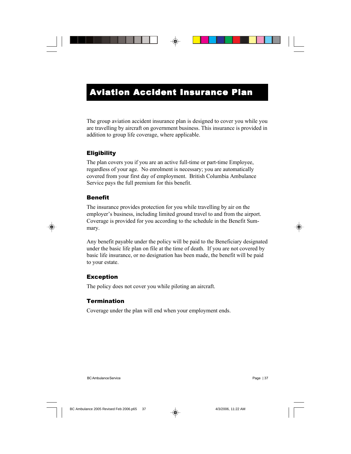## Aviation Accident Insurance Plan

The group aviation accident insurance plan is designed to cover you while you are travelling by aircraft on government business. This insurance is provided in addition to group life coverage, where applicable.

### **Eligibility**

The plan covers you if you are an active full-time or part-time Employee, regardless of your age. No enrolment is necessary; you are automatically covered from your first day of employment. British Columbia Ambulance Service pays the full premium for this benefit.

### Benefit

The insurance provides protection for you while travelling by air on the employer's business, including limited ground travel to and from the airport. Coverage is provided for you according to the schedule in the Benefit Summary.

Any benefit payable under the policy will be paid to the Beneficiary designated under the basic life plan on file at the time of death. If you are not covered by basic life insurance, or no designation has been made, the benefit will be paid to your estate.

### Exception

The policy does not cover you while piloting an aircraft.

### Termination

Coverage under the plan will end when your employment ends.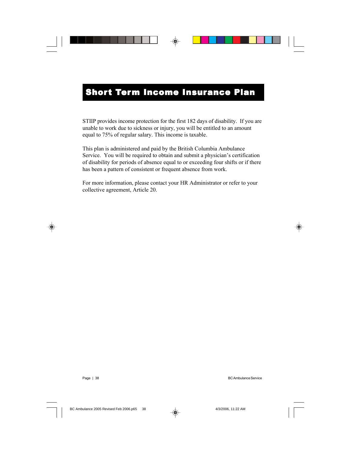## **Short Term Income Insurance Plan**

STIIP provides income protection for the first 182 days of disability. If you are unable to work due to sickness or injury, you will be entitled to an amount equal to 75% of regular salary. This income is taxable.

This plan is administered and paid by the British Columbia Ambulance Service. You will be required to obtain and submit a physician's certification of disability for periods of absence equal to or exceeding four shifts or if there has been a pattern of consistent or frequent absence from work.

For more information, please contact your HR Administrator or refer to your collective agreement, Article 20.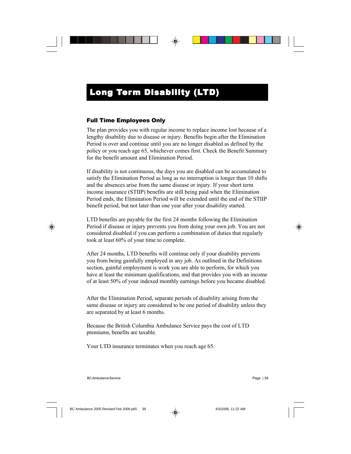### Full Time Employees Only

The plan provides you with regular income to replace income lost because of a lengthy disability due to disease or injury. Benefits begin after the Elimination Period is over and continue until you are no longer disabled as defined by the policy or you reach age 65, whichever comes first. Check the Benefit Summary for the benefit amount and Elimination Period.

If disability is not continuous, the days you are disabled can be accumulated to satisfy the Elimination Period as long as no interruption is longer than 10 shifts and the absences arise from the same disease or injury. If your short term income insurance (STIIP) benefits are still being paid when the Elimination Period ends, the Elimination Period will be extended until the end of the STIIP benefit period, but not later than one year after your disability started.

LTD benefits are payable for the first 24 months following the Elimination Period if disease or injury prevents you from doing your own job. You are not considered disabled if you can perform a combination of duties that regularly took at least 60% of your time to complete.

After 24 months, LTD benefits will continue only if your disability prevents you from being gainfully employed in any job. As outlined in the Definitions section, gainful employment is work you are able to perform, for which you have at least the minimum qualifications, and that provides you with an income of at least 50% of your indexed monthly earnings before you became disabled.

After the Elimination Period, separate periods of disability arising from the same disease or injury are considered to be one period of disability unless they are separated by at least 6 months.

Because the British Columbia Ambulance Service pays the cost of LTD premiums, benefits are taxable.

Your LTD insurance terminates when you reach age 65.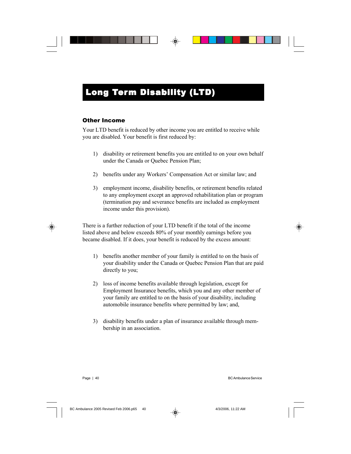### Other Income

Your LTD benefit is reduced by other income you are entitled to receive while you are disabled. Your benefit is first reduced by:

- 1) disability or retirement benefits you are entitled to on your own behalf under the Canada or Quebec Pension Plan;
- 2) benefits under any Workers' Compensation Act or similar law; and
- 3) employment income, disability benefits, or retirement benefits related to any employment except an approved rehabilitation plan or program (termination pay and severance benefits are included as employment income under this provision).

There is a further reduction of your LTD benefit if the total of the income listed above and below exceeds 80% of your monthly earnings before you became disabled. If it does, your benefit is reduced by the excess amount:

- 1) benefits another member of your family is entitled to on the basis of your disability under the Canada or Quebec Pension Plan that are paid directly to you;
- 2) loss of income benefits available through legislation, except for Employment Insurance benefits, which you and any other member of your family are entitled to on the basis of your disability, including automobile insurance benefits where permitted by law; and,
- 3) disability benefits under a plan of insurance available through membership in an association.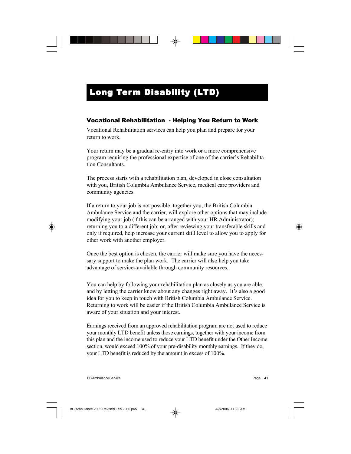### Vocational Rehabilitation - Helping You Return to Work

Vocational Rehabilitation services can help you plan and prepare for your return to work.

Your return may be a gradual re-entry into work or a more comprehensive program requiring the professional expertise of one of the carrier's Rehabilitation Consultants.

The process starts with a rehabilitation plan, developed in close consultation with you, British Columbia Ambulance Service, medical care providers and community agencies.

If a return to your job is not possible, together you, the British Columbia Ambulance Service and the carrier, will explore other options that may include modifying your job (if this can be arranged with your HR Administrator); returning you to a different job; or, after reviewing your transferable skills and only if required, help increase your current skill level to allow you to apply for other work with another employer.

Once the best option is chosen, the carrier will make sure you have the necessary support to make the plan work. The carrier will also help you take advantage of services available through community resources.

You can help by following your rehabilitation plan as closely as you are able, and by letting the carrier know about any changes right away. It's also a good idea for you to keep in touch with British Columbia Ambulance Service. Returning to work will be easier if the British Columbia Ambulance Service is aware of your situation and your interest.

Earnings received from an approved rehabilitation program are not used to reduce your monthly LTD benefit unless those earnings, together with your income from this plan and the income used to reduce your LTD benefit under the Other Income section, would exceed 100% of your pre-disability monthly earnings. If they do, your LTD benefit is reduced by the amount in excess of 100%.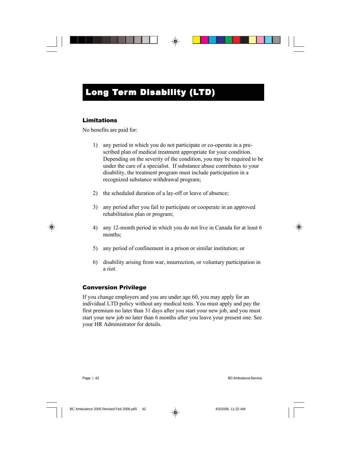### Limitations

No benefits are paid for:

- 1) any period in which you do not participate or co-operate in a prescribed plan of medical treatment appropriate for your condition. Depending on the severity of the condition, you may be required to be under the care of a specialist. If substance abuse contributes to your disability, the treatment program must include participation in a recognized substance withdrawal program;
- 2) the scheduled duration of a lay-off or leave of absence;
- 3) any period after you fail to participate or cooperate in an approved rehabilitation plan or program;
- 4) any 12-month period in which you do not live in Canada for at least 6 months;
- 5) any period of confinement in a prison or similar institution; or
- 6) disability arising from war, insurrection, or voluntary participation in a riot.

### Conversion Privilege

If you change employers and you are under age 60, you may apply for an individual LTD policy without any medical tests. You must apply and pay the first premium no later than 31 days after you start your new job, and you must start your new job no later than 6 months after you leave your present one. See your HR Administrator for details.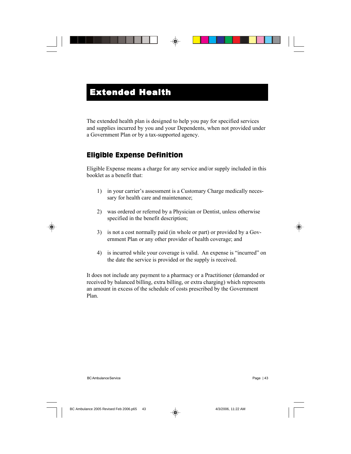The extended health plan is designed to help you pay for specified services and supplies incurred by you and your Dependents, when not provided under a Government Plan or by a tax-supported agency.

## Eligible Expense Definition

Eligible Expense means a charge for any service and/or supply included in this booklet as a benefit that:

- 1) in your carrier's assessment is a Customary Charge medically necessary for health care and maintenance;
- 2) was ordered or referred by a Physician or Dentist, unless otherwise specified in the benefit description;
- 3) is not a cost normally paid (in whole or part) or provided by a Government Plan or any other provider of health coverage; and
- 4) is incurred while your coverage is valid. An expense is "incurred" on the date the service is provided or the supply is received.

It does not include any payment to a pharmacy or a Practitioner (demanded or received by balanced billing, extra billing, or extra charging) which represents an amount in excess of the schedule of costs prescribed by the Government Plan.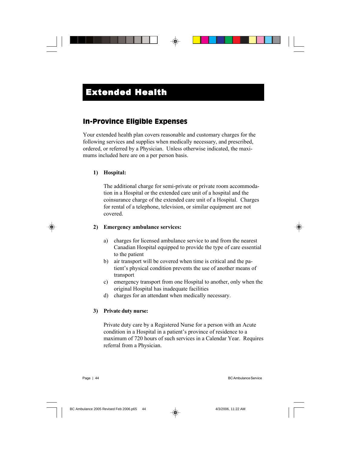## In-Province Eligible Expenses

Your extended health plan covers reasonable and customary charges for the following services and supplies when medically necessary, and prescribed, ordered, or referred by a Physician. Unless otherwise indicated, the maximums included here are on a per person basis.

#### **1) Hospital:**

The additional charge for semi-private or private room accommodation in a Hospital or the extended care unit of a hospital and the coinsurance charge of the extended care unit of a Hospital. Charges for rental of a telephone, television, or similar equipment are not covered.

#### **2) Emergency ambulance services:**

- a) charges for licensed ambulance service to and from the nearest Canadian Hospital equipped to provide the type of care essential to the patient
- b) air transport will be covered when time is critical and the patient's physical condition prevents the use of another means of transport
- c) emergency transport from one Hospital to another, only when the original Hospital has inadequate facilities
- d) charges for an attendant when medically necessary.

#### **3) Private duty nurse:**

Private duty care by a Registered Nurse for a person with an Acute condition in a Hospital in a patient's province of residence to a maximum of 720 hours of such services in a Calendar Year. Requires referral from a Physician.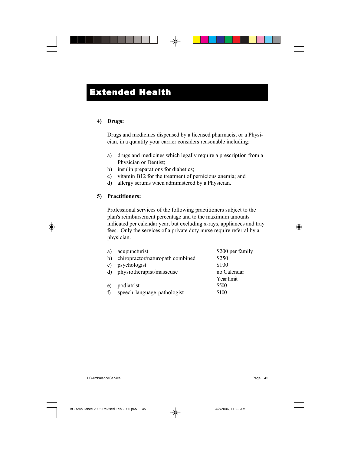#### **4) Drugs:**

Drugs and medicines dispensed by a licensed pharmacist or a Physician, in a quantity your carrier considers reasonable including:

- a) drugs and medicines which legally require a prescription from a Physician or Dentist;
- b) insulin preparations for diabetics;
- c) vitamin B12 for the treatment of pernicious anemia; and
- d) allergy serums when administered by a Physician.

### **5) Practitioners:**

Professional services of the following practitioners subject to the plan's reimbursement percentage and to the maximum amounts indicated per calendar year, but excluding x-rays, appliances and tray fees. Only the services of a private duty nurse require referral by a physician.

| a)  | acupuncturist                    | \$200 per family |
|-----|----------------------------------|------------------|
| b). | chiropractor/naturopath combined | \$250            |
| c)  | psychologist                     | \$100            |
|     | d) physiotherapist/masseuse      | no Calendar      |
|     |                                  | Year limit       |
| e)  | podiatrist                       | \$500            |
| f)  | speech language pathologist      | \$100            |
|     |                                  |                  |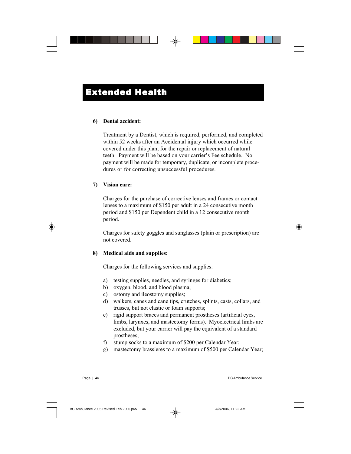#### **6) Dental accident:**

Treatment by a Dentist, which is required, performed, and completed within 52 weeks after an Accidental injury which occurred while covered under this plan, for the repair or replacement of natural teeth. Payment will be based on your carrier's Fee schedule. No payment will be made for temporary, duplicate, or incomplete procedures or for correcting unsuccessful procedures.

#### **7) Vision care:**

Charges for the purchase of corrective lenses and frames or contact lenses to a maximum of \$150 per adult in a 24 consecutive month period and \$150 per Dependent child in a 12 consecutive month period.

Charges for safety goggles and sunglasses (plain or prescription) are not covered.

### **8) Medical aids and supplies:**

Charges for the following services and supplies:

- a) testing supplies, needles, and syringes for diabetics;
- b) oxygen, blood, and blood plasma;
- c) ostomy and ileostomy supplies;
- d) walkers, canes and cane tips, crutches, splints, casts, collars, and trusses, but not elastic or foam supports;
- e) rigid support braces and permanent prostheses (artificial eyes, limbs, larynxes, and mastectomy forms). Myoelectrical limbs are excluded, but your carrier will pay the equivalent of a standard prostheses;
- f) stump socks to a maximum of \$200 per Calendar Year;
- g) mastectomy brassieres to a maximum of \$500 per Calendar Year;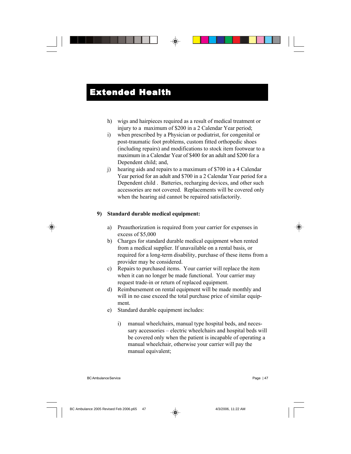- h) wigs and hairpieces required as a result of medical treatment or injury to a maximum of \$200 in a 2 Calendar Year period;
- i) when prescribed by a Physician or podiatrist, for congenital or post-traumatic foot problems, custom fitted orthopedic shoes (including repairs) and modifications to stock item footwear to a maximum in a Calendar Year of \$400 for an adult and \$200 for a Dependent child; and,
- j) hearing aids and repairs to a maximum of \$700 in a 4 Calendar Year period for an adult and \$700 in a 2 Calendar Year period for a Dependent child . Batteries, recharging devices, and other such accessories are not covered. Replacements will be covered only when the hearing aid cannot be repaired satisfactorily.

### **9) Standard durable medical equipment:**

- a) Preauthorization is required from your carrier for expenses in excess of \$5,000
- b) Charges for standard durable medical equipment when rented from a medical supplier. If unavailable on a rental basis, or required for a long-term disability, purchase of these items from a provider may be considered.
- c) Repairs to purchased items. Your carrier will replace the item when it can no longer be made functional. Your carrier may request trade-in or return of replaced equipment.
- d) Reimbursement on rental equipment will be made monthly and will in no case exceed the total purchase price of similar equipment.
- e) Standard durable equipment includes:
	- i) manual wheelchairs, manual type hospital beds, and necessary accessories – electric wheelchairs and hospital beds will be covered only when the patient is incapable of operating a manual wheelchair, otherwise your carrier will pay the manual equivalent;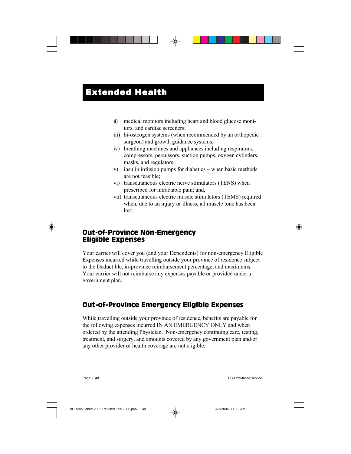- ii) medical monitors including heart and blood glucose monitors, and cardiac screeners;
- iii) bi-osteogen systems (when recommended by an orthopedic surgeon) and growth guidance systems;
- iv) breathing machines and appliances including respirators, compressors, percussors, suction pumps, oxygen cylinders, masks, and regulators;
- v) insulin infusion pumps for diabetics when basic methods are not feasible;
- vi) transcutaneous electric nerve stimulators (TENS) when prescribed for intractable pain; and,
- vii) transcutaneous electric muscle stimulators (TEMS) required when, due to an injury or illness, all muscle tone has been lost.

### Out-of-Province Non-Emergency Eligible Expenses

Your carrier will cover you (and your Dependents) for non-emergency Eligible Expenses incurred while travelling outside your province of residence subject to the Deductible, in-province reimbursement percentage, and maximums. Your carrier will not reimburse any expenses payable or provided under a government plan.

## Out-of-Province Emergency Eligible Expenses

While travelling outside your province of residence, benefits are payable for the following expenses incurred IN AN EMERGENCY ONLY and when ordered by the attending Physician. Non-emergency continuing care, testing, treatment, and surgery, and amounts covered by any government plan and/or any other provider of health coverage are not eligible.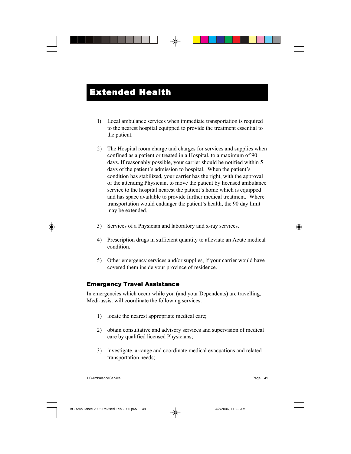- 1) Local ambulance services when immediate transportation is required to the nearest hospital equipped to provide the treatment essential to the patient.
- 2) The Hospital room charge and charges for services and supplies when confined as a patient or treated in a Hospital, to a maximum of 90 days. If reasonably possible, your carrier should be notified within 5 days of the patient's admission to hospital. When the patient's condition has stabilized, your carrier has the right, with the approval of the attending Physician, to move the patient by licensed ambulance service to the hospital nearest the patient's home which is equipped and has space available to provide further medical treatment. Where transportation would endanger the patient's health, the 90 day limit may be extended.
- 3) Services of a Physician and laboratory and x-ray services.
- 4) Prescription drugs in sufficient quantity to alleviate an Acute medical condition.
- 5) Other emergency services and/or supplies, if your carrier would have covered them inside your province of residence.

### Emergency Travel Assistance

In emergencies which occur while you (and your Dependents) are travelling, Medi-assist will coordinate the following services:

- 1) locate the nearest appropriate medical care;
- 2) obtain consultative and advisory services and supervision of medical care by qualified licensed Physicians;
- 3) investigate, arrange and coordinate medical evacuations and related transportation needs;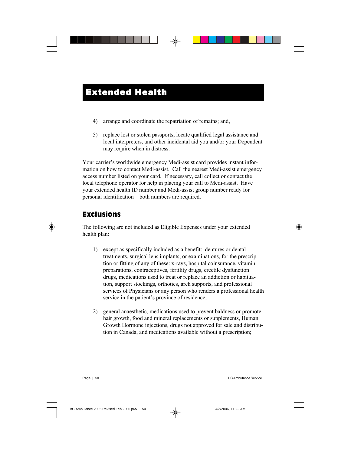- 4) arrange and coordinate the repatriation of remains; and,
- 5) replace lost or stolen passports, locate qualified legal assistance and local interpreters, and other incidental aid you and/or your Dependent may require when in distress.

Your carrier's worldwide emergency Medi-assist card provides instant information on how to contact Medi-assist. Call the nearest Medi-assist emergency access number listed on your card. If necessary, call collect or contact the local telephone operator for help in placing your call to Medi-assist. Have your extended health ID number and Medi-assist group number ready for personal identification – both numbers are required.

## Exclusions

The following are not included as Eligible Expenses under your extended health plan:

- 1) except as specifically included as a benefit: dentures or dental treatments, surgical lens implants, or examinations, for the prescription or fitting of any of these: x-rays, hospital coinsurance, vitamin preparations, contraceptives, fertility drugs, erectile dysfunction drugs, medications used to treat or replace an addiction or habituation, support stockings, orthotics, arch supports, and professional services of Physicians or any person who renders a professional health service in the patient's province of residence;
- 2) general anaesthetic, medications used to prevent baldness or promote hair growth, food and mineral replacements or supplements, Human Growth Hormone injections, drugs not approved for sale and distribution in Canada, and medications available without a prescription;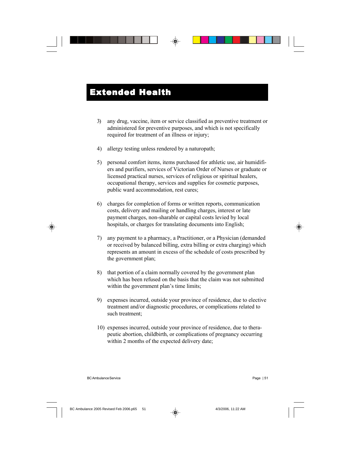- 3) any drug, vaccine, item or service classified as preventive treatment or administered for preventive purposes, and which is not specifically required for treatment of an illness or injury;
- 4) allergy testing unless rendered by a naturopath;
- 5) personal comfort items, items purchased for athletic use, air humidifiers and purifiers, services of Victorian Order of Nurses or graduate or licensed practical nurses, services of religious or spiritual healers, occupational therapy, services and supplies for cosmetic purposes, public ward accommodation, rest cures;
- 6) charges for completion of forms or written reports, communication costs, delivery and mailing or handling charges, interest or late payment charges, non-sharable or capital costs levied by local hospitals, or charges for translating documents into English;
- 7) any payment to a pharmacy, a Practitioner, or a Physician (demanded or received by balanced billing, extra billing or extra charging) which represents an amount in excess of the schedule of costs prescribed by the government plan;
- 8) that portion of a claim normally covered by the government plan which has been refused on the basis that the claim was not submitted within the government plan's time limits;
- 9) expenses incurred, outside your province of residence, due to elective treatment and/or diagnostic procedures, or complications related to such treatment;
- 10) expenses incurred, outside your province of residence, due to therapeutic abortion, childbirth, or complications of pregnancy occurring within 2 months of the expected delivery date;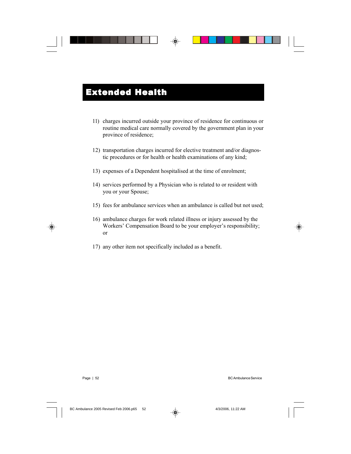- 11) charges incurred outside your province of residence for continuous or routine medical care normally covered by the government plan in your province of residence;
- 12) transportation charges incurred for elective treatment and/or diagnostic procedures or for health or health examinations of any kind;
- 13) expenses of a Dependent hospitalised at the time of enrolment;
- 14) services performed by a Physician who is related to or resident with you or your Spouse;
- 15) fees for ambulance services when an ambulance is called but not used;
- 16) ambulance charges for work related illness or injury assessed by the Workers' Compensation Board to be your employer's responsibility; or
- 17) any other item not specifically included as a benefit.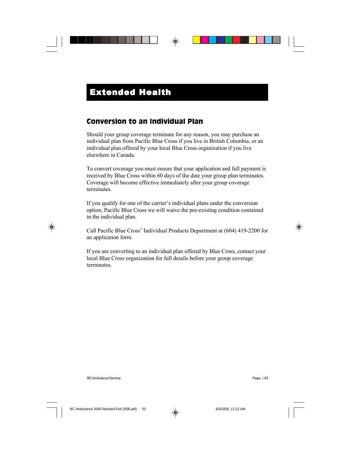### Conversion to an Individual Plan

Should your group coverage terminate for any reason, you may purchase an individual plan from Pacific Blue Cross if you live in British Columbia, or an individual plan offered by your local Blue Cross organization if you live elsewhere in Canada.

To convert coverage you must ensure that your application and full payment is received by Blue Cross within 60 days of the date your group plan terminates. Coverage will become effective immediately after your group coverage terminates.

If you qualify for one of the carrier's individual plans under the conversion option, Pacific Blue Cross we will waive the pre-existing condition contained in the individual plan.

Call Pacific Blue Cross' Individual Products Department at (604) 419-2200 for an application form.

If you are converting to an individual plan offered by Blue Cross, contact your local Blue Cross organization for full details before your group coverage terminates.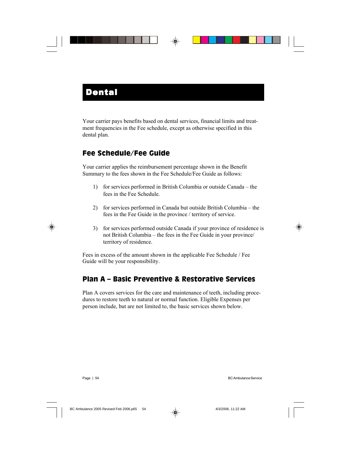Your carrier pays benefits based on dental services, financial limits and treatment frequencies in the Fee schedule, except as otherwise specified in this dental plan.

## Fee Schedule/Fee Guide

Your carrier applies the reimbursement percentage shown in the Benefit Summary to the fees shown in the Fee Schedule/Fee Guide as follows:

- 1) for services performed in British Columbia or outside Canada the fees in the Fee Schedule.
- 2) for services performed in Canada but outside British Columbia the fees in the Fee Guide in the province / territory of service.
- 3) for services performed outside Canada if your province of residence is not British Columbia – the fees in the Fee Guide in your province/ territory of residence.

Fees in excess of the amount shown in the applicable Fee Schedule / Fee Guide will be your responsibility.

## Plan A – Basic Preventive & Restorative Services

Plan A covers services for the care and maintenance of teeth, including procedures to restore teeth to natural or normal function. Eligible Expenses per person include, but are not limited to, the basic services shown below.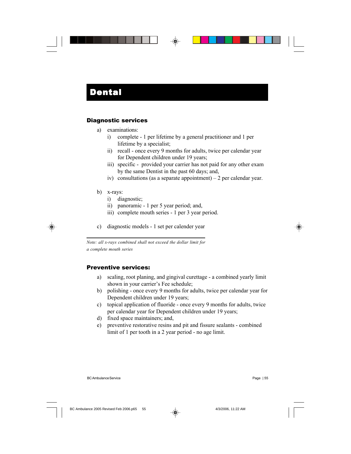### Diagnostic services

- a) examinations:
	- i) complete 1 per lifetime by a general practitioner and 1 per lifetime by a specialist;
	- ii) recall once every 9 months for adults, twice per calendar year for Dependent children under 19 years;
	- iii) specific provided your carrier has not paid for any other exam by the same Dentist in the past 60 days; and,
	- iv) consultations (as a separate appointment) 2 per calendar year.
- b) x-rays:
	- i) diagnostic;
	- ii) panoramic 1 per 5 year period; and,
	- iii) complete mouth series 1 per 3 year period.
- c) diagnostic models 1 set per calender year

*Note: all x-rays combined shall not exceed the dollar limit for a complete mouth series*

### Preventive services:

- a) scaling, root planing, and gingival curettage a combined yearly limit shown in your carrier's Fee schedule;
- b) polishing once every 9 months for adults, twice per calendar year for Dependent children under 19 years;
- c) topical application of fluoride once every 9 months for adults, twice per calendar year for Dependent children under 19 years;
- d) fixed space maintainers; and,
- e) preventive restorative resins and pit and fissure sealants combined limit of 1 per tooth in a 2 year period - no age limit.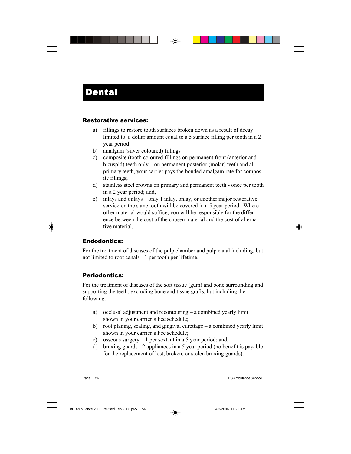### Restorative services:

- a) fillings to restore tooth surfaces broken down as a result of decay limited to a dollar amount equal to a 5 surface filling per tooth in a 2 year period:
- b) amalgam (silver coloured) fillings
- c) composite (tooth coloured fillings on permanent front (anterior and bicuspid) teeth only – on permanent posterior (molar) teeth and all primary teeth, your carrier pays the bonded amalgam rate for composite fillings;
- d) stainless steel crowns on primary and permanent teeth once per tooth in a 2 year period; and,
- e) inlays and onlays only 1 inlay, onlay, or another major restorative service on the same tooth will be covered in a 5 year period. Where other material would suffice, you will be responsible for the difference between the cost of the chosen material and the cost of alternative material.

### Endodontics:

For the treatment of diseases of the pulp chamber and pulp canal including, but not limited to root canals - 1 per tooth per lifetime.

### Periodontics:

For the treatment of diseases of the soft tissue (gum) and bone surrounding and supporting the teeth, excluding bone and tissue grafts, but including the following:

- a) occlusal adjustment and recontouring a combined yearly limit shown in your carrier's Fee schedule;
- b) root planing, scaling, and gingival curettage a combined yearly limit shown in your carrier's Fee schedule;
- c) osseous surgery  $-1$  per sextant in a 5 year period; and,
- d) bruxing guards 2 appliances in a 5 year period (no benefit is payable for the replacement of lost, broken, or stolen bruxing guards).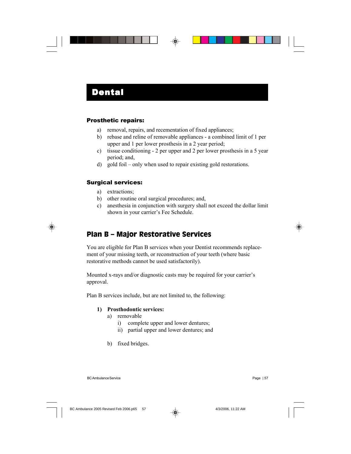### Prosthetic repairs:

- a) removal, repairs, and recementation of fixed appliances;
- b) rebase and reline of removable appliances a combined limit of 1 per upper and 1 per lower prosthesis in a 2 year period;
- c) tissue conditioning 2 per upper and 2 per lower prosthesis in a 5 year period; and,
- d) gold foil only when used to repair existing gold restorations.

### Surgical services:

- a) extractions;
- b) other routine oral surgical procedures; and,
- c) anesthesia in conjunction with surgery shall not exceed the dollar limit shown in your carrier's Fee Schedule.

### Plan B – Major Restorative Services

You are eligible for Plan B services when your Dentist recommends replacement of your missing teeth, or reconstruction of your teeth (where basic restorative methods cannot be used satisfactorily).

Mounted x-rays and/or diagnostic casts may be required for your carrier's approval.

Plan B services include, but are not limited to, the following:

#### **1) Prosthodontic services:**

- a) removable
	- i) complete upper and lower dentures;
	- ii) partial upper and lower dentures; and
- b) fixed bridges.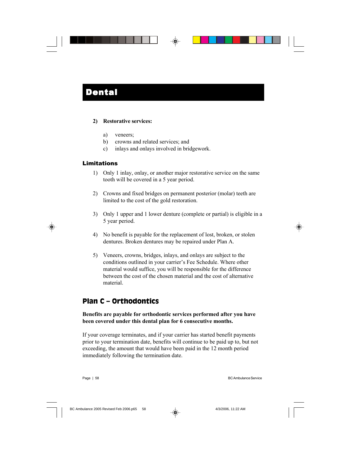#### **2) Restorative services:**

- a) veneers;
- b) crowns and related services; and
- c) inlays and onlays involved in bridgework.

#### Limitations

- 1) Only 1 inlay, onlay, or another major restorative service on the same tooth will be covered in a 5 year period.
- 2) Crowns and fixed bridges on permanent posterior (molar) teeth are limited to the cost of the gold restoration.
- 3) Only 1 upper and 1 lower denture (complete or partial) is eligible in a 5 year period.
- 4) No benefit is payable for the replacement of lost, broken, or stolen dentures. Broken dentures may be repaired under Plan A.
- 5) Veneers, crowns, bridges, inlays, and onlays are subject to the conditions outlined in your carrier's Fee Schedule. Where other material would suffice, you will be responsible for the difference between the cost of the chosen material and the cost of alternative material.

### Plan C – Orthodontics

### **Benefits are payable for orthodontic services performed after you have been covered under this dental plan for 6 consecutive months.**

If your coverage terminates, and if your carrier has started benefit payments prior to your termination date, benefits will continue to be paid up to, but not exceeding, the amount that would have been paid in the 12 month period immediately following the termination date.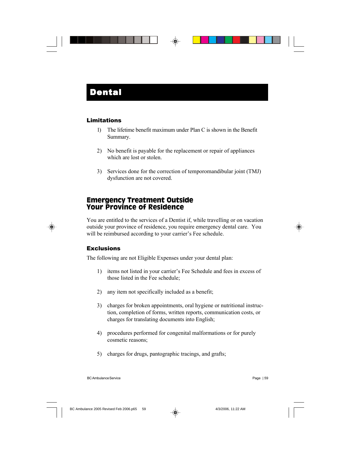### **Limitations**

- 1) The lifetime benefit maximum under Plan C is shown in the Benefit Summary.
- 2) No benefit is payable for the replacement or repair of appliances which are lost or stolen.
- 3) Services done for the correction of temporomandibular joint (TMJ) dysfunction are not covered.

### Emergency Treatment Outside Your Province of Residence

You are entitled to the services of a Dentist if, while travelling or on vacation outside your province of residence, you require emergency dental care. You will be reimbursed according to your carrier's Fee schedule.

### **Exclusions**

The following are not Eligible Expenses under your dental plan:

- 1) items not listed in your carrier's Fee Schedule and fees in excess of those listed in the Fee schedule;
- 2) any item not specifically included as a benefit;
- 3) charges for broken appointments, oral hygiene or nutritional instruction, completion of forms, written reports, communication costs, or charges for translating documents into English;
- 4) procedures performed for congenital malformations or for purely cosmetic reasons;
- 5) charges for drugs, pantographic tracings, and grafts;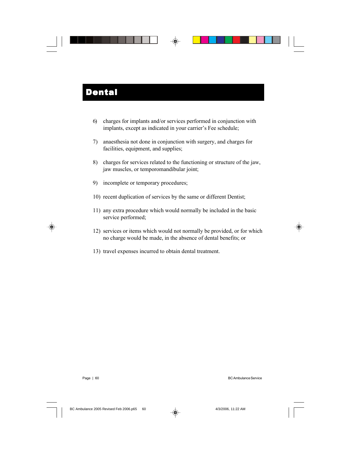- 6) charges for implants and/or services performed in conjunction with implants, except as indicated in your carrier's Fee schedule;
- 7) anaesthesia not done in conjunction with surgery, and charges for facilities, equipment, and supplies;
- 8) charges for services related to the functioning or structure of the jaw, jaw muscles, or temporomandibular joint;
- 9) incomplete or temporary procedures;
- 10) recent duplication of services by the same or different Dentist;
- 11) any extra procedure which would normally be included in the basic service performed;
- 12) services or items which would not normally be provided, or for which no charge would be made, in the absence of dental benefits; or
- 13) travel expenses incurred to obtain dental treatment.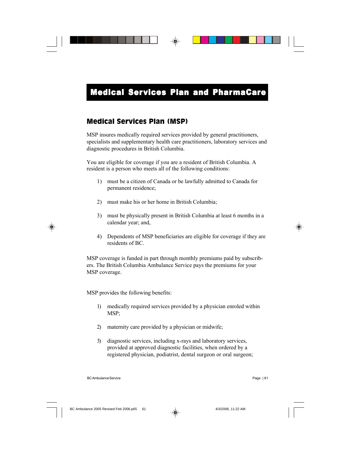### Medical Services Plan (MSP)

MSP insures medically required services provided by general practitioners, specialists and supplementary health care practitioners, laboratory services and diagnostic procedures in British Columbia.

You are eligible for coverage if you are a resident of British Columbia. A resident is a person who meets all of the following conditions:

- 1) must be a citizen of Canada or be lawfully admitted to Canada for permanent residence;
- 2) must make his or her home in British Columbia;
- 3) must be physically present in British Columbia at least 6 months in a calendar year; and,
- 4) Dependents of MSP beneficiaries are eligible for coverage if they are residents of BC.

MSP coverage is funded in part through monthly premiums paid by subscribers. The British Columbia Ambulance Service pays the premiums for your MSP coverage.

MSP provides the following benefits:

- 1) medically required services provided by a physician enroled within MSP;
- 2) maternity care provided by a physician or midwife;
- 3) diagnostic services, including x-rays and laboratory services, provided at approved diagnostic facilities, when ordered by a registered physician, podiatrist, dental surgeon or oral surgeon;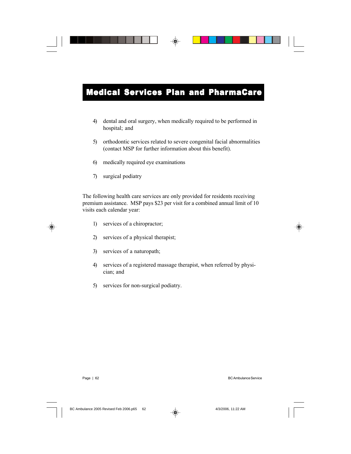- 4) dental and oral surgery, when medically required to be performed in hospital; and
- 5) orthodontic services related to severe congenital facial abnormalities (contact MSP for further information about this benefit).
- 6) medically required eye examinations
- 7) surgical podiatry

The following health care services are only provided for residents receiving premium assistance. MSP pays \$23 per visit for a combined annual limit of 10 visits each calendar year:

- 1) services of a chiropractor;
- 2) services of a physical therapist;
- 3) services of a naturopath;
- 4) services of a registered massage therapist, when referred by physician; and
- 5) services for non-surgical podiatry.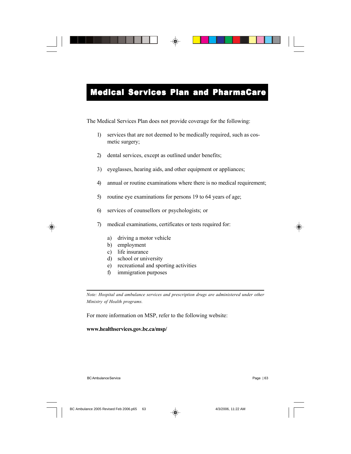The Medical Services Plan does not provide coverage for the following:

- 1) services that are not deemed to be medically required, such as cosmetic surgery;
- 2) dental services, except as outlined under benefits;
- 3) eyeglasses, hearing aids, and other equipment or appliances;
- 4) annual or routine examinations where there is no medical requirement;
- 5) routine eye examinations for persons 19 to 64 years of age;
- 6) services of counsellors or psychologists; or
- 7) medical examinations, certificates or tests required for:
	- a) driving a motor vehicle
	- b) employment
	- c) life insurance
	- d) school or university
	- e) recreational and sporting activities
	- f) immigration purposes

*Note: Hospital and ambulance services and prescription drugs are administered under other Ministry of Health programs.*

For more information on MSP, refer to the following website:

#### **www.healthservices.gov.bc.ca/msp/**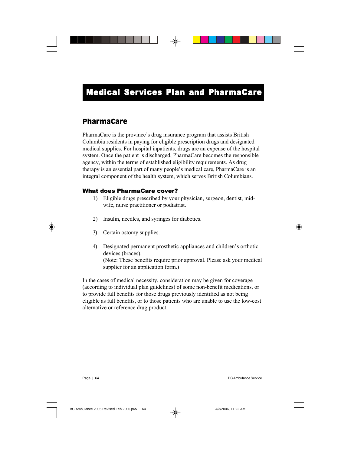### PharmaCare

PharmaCare is the province's drug insurance program that assists British Columbia residents in paying for eligible prescription drugs and designated medical supplies. For hospital inpatients, drugs are an expense of the hospital system. Once the patient is discharged, PharmaCare becomes the responsible agency, within the terms of established eligibility requirements. As drug therapy is an essential part of many people's medical care, PharmaCare is an integral component of the health system, which serves British Columbians.

### What does PharmaCare cover?

- 1) Eligible drugs prescribed by your physician, surgeon, dentist, midwife, nurse practitioner or podiatrist.
- 2) Insulin, needles, and syringes for diabetics.
- 3) Certain ostomy supplies.
- 4) Designated permanent prosthetic appliances and children's orthotic devices (braces). (Note: These benefits require prior approval. Please ask your medical supplier for an application form.)

In the cases of medical necessity, consideration may be given for coverage (according to individual plan guidelines) of some non-benefit medications, or to provide full benefits for those drugs previously identified as not being eligible as full benefits, or to those patients who are unable to use the low-cost alternative or reference drug product.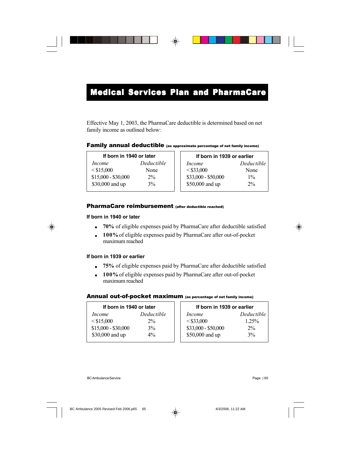Effective May 1, 2003, the PharmaCare deductible is determined based on net family income as outlined below:

#### Family annual deductible (as approximate percentage of net family income)

| If born in 1940 or later |            |  |  |  |  |
|--------------------------|------------|--|--|--|--|
| <i>Income</i>            | Deductible |  |  |  |  |
| $<$ \$15,000             | None       |  |  |  |  |
| $$15,000 - $30,000$      | $2\%$      |  |  |  |  |
| \$30,000 and up          | 3%         |  |  |  |  |

 **If born in 1939 or earlier** *Income Deductible*  $\leq$ \$33,000 None \$33,000 - \$50,000 1% \$50,000 and up 2%

#### PharmaCare reimbursement (after deductible reached)

#### **If born in 1940 or later**

- . **70%** of eligible expenses paid by PharmaCare after deductible satisfied
- . **100%**of eligible expenses paid by PharmaCare after out-of-pocket maximum reached

#### **If born in 1939 or earlier**

- . **75%** of eligible expenses paid by PharmaCare after deductible satisfied
- . **100%**of eligible expenses paid by PharmaCare after out-of-pocket maximum reached

#### Annual out-of-pocket maximum (as percentage of net family income)

| If born in 1940 or later |            |  | If born in 1939 or earlier |            |  |
|--------------------------|------------|--|----------------------------|------------|--|
| Income                   | Deductible |  | <i>Income</i>              | Deductible |  |
| $<$ \$15,000             | $2\%$      |  | $<$ \$33,000               | 125%       |  |
| $$15,000 - $30,000$      | 3%         |  | $$33,000 - $50,000$        | $2\%$      |  |
| \$30,000 and up          | $4\%$      |  | \$50,000 and up            | 3%         |  |
|                          |            |  |                            |            |  |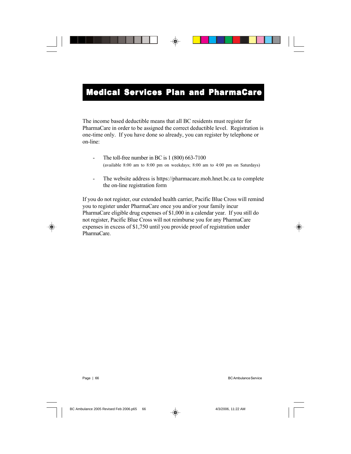The income based deductible means that all BC residents must register for PharmaCare in order to be assigned the correct deductible level. Registration is one-time only. If you have done so already, you can register by telephone or on-line:

- The toll-free number in BC is 1 (800) 663-7100 (available 8:00 am to 8:00 pm on weekdays; 8:00 am to 4:00 pm on Saturdays)
- The website address is https://pharmacare.moh.hnet.bc.ca to complete the on-line registration form

If you do not register, our extended health carrier, Pacific Blue Cross will remind you to register under PharmaCare once you and/or your family incur PharmaCare eligible drug expenses of \$1,000 in a calendar year. If you still do not register, Pacific Blue Cross will not reimburse you for any PharmaCare expenses in excess of \$1,750 until you provide proof of registration under PharmaCare.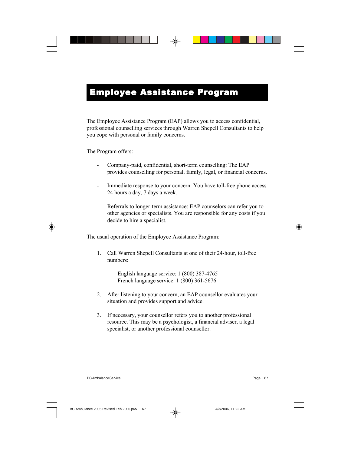# Employee Assistance Program

The Employee Assistance Program (EAP) allows you to access confidential, professional counselling services through Warren Shepell Consultants to help you cope with personal or family concerns.

The Program offers:

- Company-paid, confidential, short-term counselling: The EAP provides counselling for personal, family, legal, or financial concerns.
- Immediate response to your concern: You have toll-free phone access 24 hours a day, 7 days a week.
- Referrals to longer-term assistance: EAP counselors can refer you to other agencies or specialists. You are responsible for any costs if you decide to hire a specialist.

The usual operation of the Employee Assistance Program:

1. Call Warren Shepell Consultants at one of their 24-hour, toll-free numbers:

> English language service: 1 (800) 387-4765 French language service: 1 (800) 361-5676

- 2. After listening to your concern, an EAP counsellor evaluates your situation and provides support and advice.
- 3. If necessary, your counsellor refers you to another professional resource. This may be a psychologist, a financial adviser, a legal specialist, or another professional counsellor.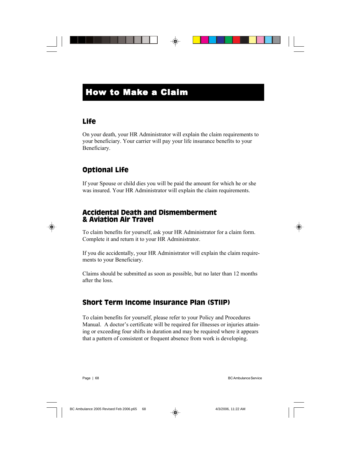## How to Make a Claim

## Life

On your death, your HR Administrator will explain the claim requirements to your beneficiary. Your carrier will pay your life insurance benefits to your Beneficiary.

## Optional Life

If your Spouse or child dies you will be paid the amount for which he or she was insured. Your HR Administrator will explain the claim requirements.

### Accidental Death and Dismemberment & Aviation Air Travel

To claim benefits for yourself, ask your HR Administrator for a claim form. Complete it and return it to your HR Administrator.

If you die accidentally, your HR Administrator will explain the claim requirements to your Beneficiary.

Claims should be submitted as soon as possible, but no later than 12 months after the loss.

## Short Term Income Insurance Plan (STIIP)

To claim benefits for yourself, please refer to your Policy and Procedures Manual. A doctor's certificate will be required for illnesses or injuries attaining or exceeding four shifts in duration and may be required where it appears that a pattern of consistent or frequent absence from work is developing.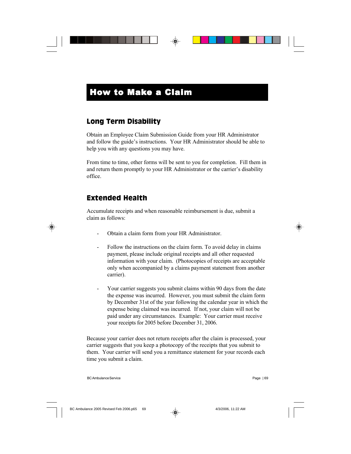# How to Make a Claim

## Long Term Disability

Obtain an Employee Claim Submission Guide from your HR Administrator and follow the guide's instructions. Your HR Administrator should be able to help you with any questions you may have.

From time to time, other forms will be sent to you for completion. Fill them in and return them promptly to your HR Administrator or the carrier's disability office.

## Extended Health

Accumulate receipts and when reasonable reimbursement is due, submit a claim as follows:

- Obtain a claim form from your HR Administrator.
- Follow the instructions on the claim form. To avoid delay in claims payment, please include original receipts and all other requested information with your claim. (Photocopies of receipts are acceptable only when accompanied by a claims payment statement from another carrier).
- Your carrier suggests you submit claims within 90 days from the date the expense was incurred. However, you must submit the claim form by December 31st of the year following the calendar year in which the expense being claimed was incurred. If not, your claim will not be paid under any circumstances. Example: Your carrier must receive your receipts for 2005 before December 31, 2006.

Because your carrier does not return receipts after the claim is processed, your carrier suggests that you keep a photocopy of the receipts that you submit to them. Your carrier will send you a remittance statement for your records each time you submit a claim.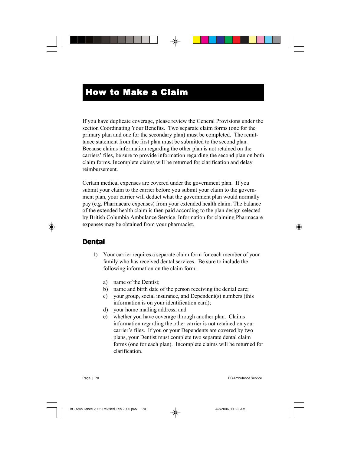## How to Make a Claim

If you have duplicate coverage, please review the General Provisions under the section Coordinating Your Benefits. Two separate claim forms (one for the primary plan and one for the secondary plan) must be completed. The remittance statement from the first plan must be submitted to the second plan. Because claims information regarding the other plan is not retained on the carriers' files, be sure to provide information regarding the second plan on both claim forms. Incomplete claims will be returned for clarification and delay reimbursement.

Certain medical expenses are covered under the government plan. If you submit your claim to the carrier before you submit your claim to the government plan, your carrier will deduct what the government plan would normally pay (e.g. Pharmacare expenses) from your extended health claim. The balance of the extended health claim is then paid according to the plan design selected by British Columbia Ambulance Service. Information for claiming Pharmacare expenses may be obtained from your pharmacist.

## Dental

- 1) Your carrier requires a separate claim form for each member of your family who has received dental services. Be sure to include the following information on the claim form:
	- a) name of the Dentist;
	- b) name and birth date of the person receiving the dental care;
	- c) your group, social insurance, and Dependent(s) numbers (this information is on your identification card);
	- d) your home mailing address; and
	- e) whether you have coverage through another plan. Claims information regarding the other carrier is not retained on your carrier's files. If you or your Dependents are covered by two plans, your Dentist must complete two separate dental claim forms (one for each plan). Incomplete claims will be returned for clarification.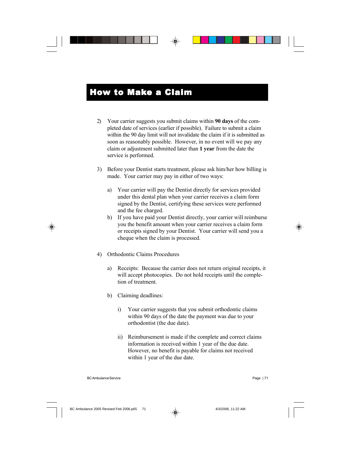- 2) Your carrier suggests you submit claims within **90 days** of the completed date of services (earlier if possible). Failure to submit a claim within the 90 day limit will not invalidate the claim if it is submitted as soon as reasonably possible. However, in no event will we pay any claim or adjustment submitted later than **1 year** from the date the service is performed.
- 3) Before your Dentist starts treatment, please ask him/her how billing is made. Your carrier may pay in either of two ways:
	- a) Your carrier will pay the Dentist directly for services provided under this dental plan when your carrier receives a claim form signed by the Dentist, certifying these services were performed and the fee charged.
	- b) If you have paid your Dentist directly, your carrier will reimburse you the benefit amount when your carrier receives a claim form or receipts signed by your Dentist. Your carrier will send you a cheque when the claim is processed.
- 4) Orthodontic Claims Procedures
	- a) Receipts: Because the carrier does not return original receipts, it will accept photocopies. Do not hold receipts until the completion of treatment.
	- b) Claiming deadlines:
		- i) Your carrier suggests that you submit orthodontic claims within 90 days of the date the payment was due to your orthodontist (the due date).
		- ii) Reimbursement is made if the complete and correct claims information is received within 1 year of the due date. However, no benefit is payable for claims not received within 1 year of the due date.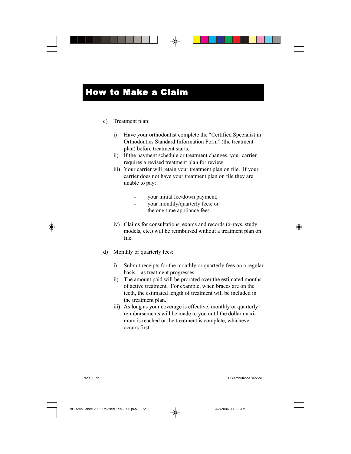# How to Make a Claim

#### c) Treatment plan:

- i) Have your orthodontist complete the "Certified Specialist in Orthodontics Standard Information Form" (the treatment plan) before treatment starts.
- ii) If the payment schedule or treatment changes, your carrier requires a revised treatment plan for review.
- iii) Your carrier will retain your treatment plan on file. If your carrier does not have your treatment plan on file they are unable to pay:
	- your initial fee/down payment;
	- your monthly/quarterly fees; or
	- the one time appliance fees.
- iv) Claims for consultations, exams and records (x-rays, study models, etc.) will be reimbursed without a treatment plan on file.
- d) Monthly or quarterly fees:
	- i) Submit receipts for the monthly or quarterly fees on a regular basis – as treatment progresses.
	- ii) The amount paid will be prorated over the estimated months of active treatment. For example, when braces are on the teeth, the estimated length of treatment will be included in the treatment plan.
	- iii) As long as your coverage is effective, monthly or quarterly reimbursements will be made to you until the dollar maximum is reached or the treatment is complete, whichever occurs first.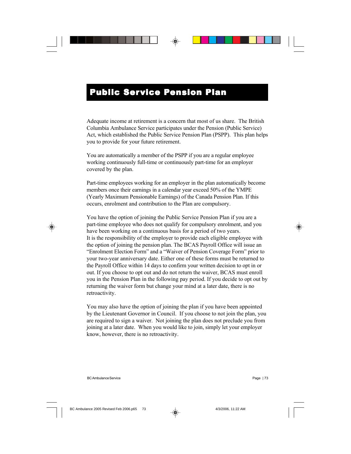# **Public Service Pension Plan**

Adequate income at retirement is a concern that most of us share. The British Columbia Ambulance Service participates under the Pension (Public Service) Act, which established the Public Service Pension Plan (PSPP). This plan helps you to provide for your future retirement.

You are automatically a member of the PSPP if you are a regular employee working continuously full-time or continuously part-time for an employer covered by the plan.

Part-time employees working for an employer in the plan automatically become members once their earnings in a calendar year exceed 50% of the YMPE (Yearly Maximum Pensionable Earnings) of the Canada Pension Plan. If this occurs, enrolment and contribution to the Plan are compulsory.

You have the option of joining the Public Service Pension Plan if you are a part-time employee who does not qualify for compulsory enrolment, and you have been working on a continuous basis for a period of two years. It is the responsibility of the employer to provide each eligible employee with the option of joining the pension plan. The BCAS Payroll Office will issue an "Enrolment Election Form" and a "Waiver of Pension Coverage Form" prior to your two-year anniversary date. Either one of these forms must be returned to the Payroll Office within 14 days to confirm your written decision to opt in or out. If you choose to opt out and do not return the waiver, BCAS must enroll you in the Pension Plan in the following pay period. If you decide to opt out by returning the waiver form but change your mind at a later date, there is no retroactivity.

You may also have the option of joining the plan if you have been appointed by the Lieutenant Governor in Council. If you choose to not join the plan, you are required to sign a waiver. Not joining the plan does not preclude you from joining at a later date. When you would like to join, simply let your employer know, however, there is no retroactivity.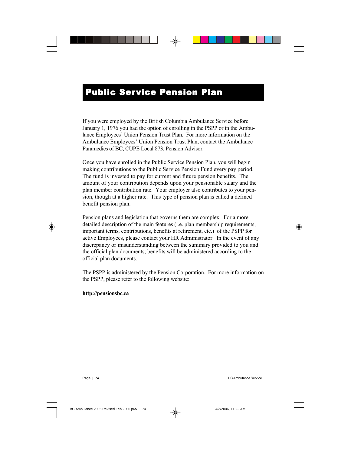# **Public Service Pension Plan**

If you were employed by the British Columbia Ambulance Service before January 1, 1976 you had the option of enrolling in the PSPP or in the Ambulance Employees' Union Pension Trust Plan. For more information on the Ambulance Employees' Union Pension Trust Plan, contact the Ambulance Paramedics of BC, CUPE Local 873, Pension Advisor.

Once you have enrolled in the Public Service Pension Plan, you will begin making contributions to the Public Service Pension Fund every pay period. The fund is invested to pay for current and future pension benefits. The amount of your contribution depends upon your pensionable salary and the plan member contribution rate. Your employer also contributes to your pension, though at a higher rate. This type of pension plan is called a defined benefit pension plan.

Pension plans and legislation that governs them are complex. For a more detailed description of the main features (i.e. plan membership requirements, important terms, contributions, benefits at retirement, etc.) of the PSPP for active Employees, please contact your HR Administrator. In the event of any discrepancy or misunderstanding between the summary provided to you and the official plan documents; benefits will be administered according to the official plan documents.

The PSPP is administered by the Pension Corporation. For more information on the PSPP, please refer to the following website:

#### **http://pensionsbc.ca**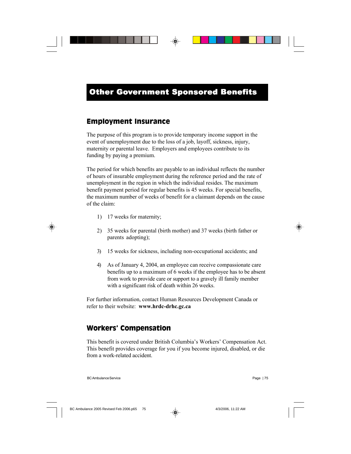### Employment Insurance

The purpose of this program is to provide temporary income support in the event of unemployment due to the loss of a job, layoff, sickness, injury, maternity or parental leave. Employers and employees contribute to its funding by paying a premium.

The period for which benefits are payable to an individual reflects the number of hours of insurable employment during the reference period and the rate of unemployment in the region in which the individual resides. The maximum benefit payment period for regular benefits is 45 weeks. For special benefits, the maximum number of weeks of benefit for a claimant depends on the cause of the claim:

- 1) 17 weeks for maternity;
- 2) 35 weeks for parental (birth mother) and 37 weeks (birth father or parents adopting);
- 3) 15 weeks for sickness, including non-occupational accidents; and
- 4) As of January 4, 2004, an employee can receive compassionate care benefits up to a maximum of 6 weeks if the employee has to be absent from work to provide care or support to a gravely ill family member with a significant risk of death within 26 weeks.

For further information, contact Human Resources Development Canada or refer to their website: **www.hrdc-drhc.gc.ca**

### Workers' Compensation

This benefit is covered under British Columbia's Workers' Compensation Act. This benefit provides coverage for you if you become injured, disabled, or die from a work-related accident.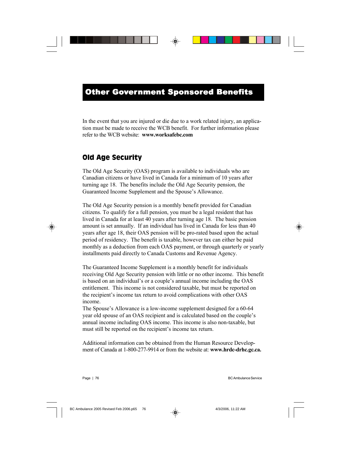In the event that you are injured or die due to a work related injury, an application must be made to receive the WCB benefit. For further information please refer to the WCB website: **www.worksafebc.com**

# Old Age Security

The Old Age Security (OAS) program is available to individuals who are Canadian citizens or have lived in Canada for a minimum of 10 years after turning age 18. The benefits include the Old Age Security pension, the Guaranteed Income Supplement and the Spouse's Allowance.

The Old Age Security pension is a monthly benefit provided for Canadian citizens. To qualify for a full pension, you must be a legal resident that has lived in Canada for at least 40 years after turning age 18. The basic pension amount is set annually. If an individual has lived in Canada for less than 40 years after age 18, their OAS pension will be pro-rated based upon the actual period of residency. The benefit is taxable, however tax can either be paid monthly as a deduction from each OAS payment, or through quarterly or yearly installments paid directly to Canada Customs and Revenue Agency.

The Guaranteed Income Supplement is a monthly benefit for individuals receiving Old Age Security pension with little or no other income. This benefit is based on an individual's or a couple's annual income including the OAS entitlement. This income is not considered taxable, but must be reported on the recipient's income tax return to avoid complications with other OAS income.

The Spouse's Allowance is a low-income supplement designed for a 60-64 year old spouse of an OAS recipient and is calculated based on the couple's annual income including OAS income. This income is also non-taxable, but must still be reported on the recipient's income tax return.

Additional information can be obtained from the Human Resource Development of Canada at 1-800-277-9914 or from the website at: **www.hrdc-drhc.gc.ca.**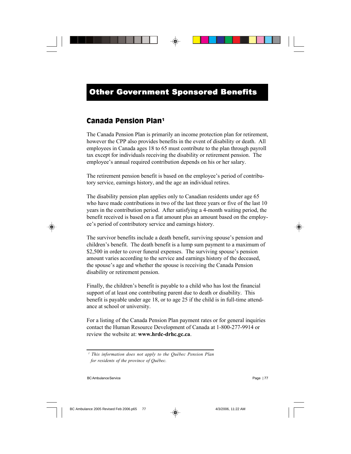# Canada Pension Plan1

The Canada Pension Plan is primarily an income protection plan for retirement, however the CPP also provides benefits in the event of disability or death. All employees in Canada ages 18 to 65 must contribute to the plan through payroll tax except for individuals receiving the disability or retirement pension. The employee's annual required contribution depends on his or her salary.

The retirement pension benefit is based on the employee's period of contributory service, earnings history, and the age an individual retires.

The disability pension plan applies only to Canadian residents under age 65 who have made contributions in two of the last three years or five of the last 10 years in the contribution period. After satisfying a 4-month waiting period, the benefit received is based on a flat amount plus an amount based on the employee's period of contributory service and earnings history.

The survivor benefits include a death benefit, surviving spouse's pension and children's benefit. The death benefit is a lump sum payment to a maximum of \$2,500 in order to cover funeral expenses. The surviving spouse's pension amount varies according to the service and earnings history of the deceased, the spouse's age and whether the spouse is receiving the Canada Pension disability or retirement pension.

Finally, the children's benefit is payable to a child who has lost the financial support of at least one contributing parent due to death or disability. This benefit is payable under age 18, or to age 25 if the child is in full-time attendance at school or university.

For a listing of the Canada Pension Plan payment rates or for general inquiries contact the Human Resource Development of Canada at 1-800-277-9914 or review the website at: **www.hrdc-drhc.gc.ca**.

*<sup>1</sup> This information does not apply to the Québec Pension Plan for residents of the province of Québec.*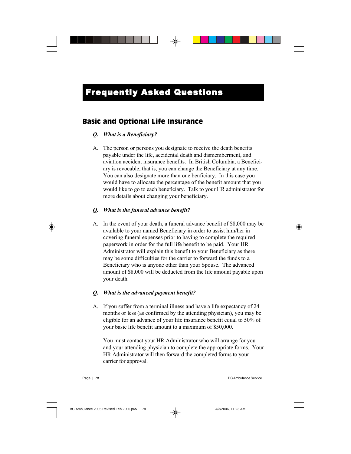### Basic and Optional Life Insurance

#### *Q. What is a Beneficiary?*

A. The person or persons you designate to receive the death benefits payable under the life, accidental death and dismemberment, and aviation accident insurance benefits. In British Columbia, a Beneficiary is revocable, that is, you can change the Beneficiary at any time. You can also designate more than one benficiary. In this case you would have to allocate the percentage of the benefit amount that you would like to go to each beneficiary. Talk to your HR administrator for more details about changing your beneficiary.

#### *Q. What is the funeral advance benefit?*

A. In the event of your death, a funeral advance benefit of \$8,000 may be available to your named Beneficiary in order to assist him/her in covering funeral expenses prior to having to complete the required paperwork in order for the full life benefit to be paid. Your HR Administrator will explain this benefit to your Beneficiary as there may be some difficulties for the carrier to forward the funds to a Beneficiary who is anyone other than your Spouse. The advanced amount of \$8,000 will be deducted from the life amount payable upon your death.

#### *Q. What is the advanced payment benefit?*

A. If you suffer from a terminal illness and have a life expectancy of 24 months or less (as confirmed by the attending physician), you may be eligible for an advance of your life insurance benefit equal to 50% of your basic life benefit amount to a maximum of \$50,000.

You must contact your HR Administrator who will arrange for you and your attending physician to complete the appropriate forms. Your HR Administrator will then forward the completed forms to your carrier for approval.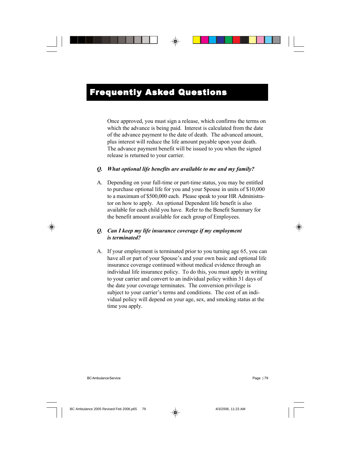Once approved, you must sign a release, which confirms the terms on which the advance is being paid. Interest is calculated from the date of the advance payment to the date of death. The advanced amount, plus interest will reduce the life amount payable upon your death. The advance payment benefit will be issued to you when the signed release is returned to your carrier.

#### *Q. What optional life benefits are available to me and my family?*

A. Depending on your full-time or part-time status, you may be entitled to purchase optional life for you and your Spouse in units of \$10,000 to a maximum of \$500,000 each. Please speak to your HR Administrator on how to apply. An optional Dependent life benefit is also available for each child you have. Refer to the Benefit Summary for the benefit amount available for each group of Employees.

#### *Q. Can I keep my life insurance coverage if my employment is terminated?*

A. If your employment is terminated prior to you turning age 65, you can have all or part of your Spouse's and your own basic and optional life insurance coverage continued without medical evidence through an individual life insurance policy. To do this, you must apply in writing to your carrier and convert to an individual policy within 31 days of the date your coverage terminates. The conversion privilege is subject to your carrier's terms and conditions. The cost of an individual policy will depend on your age, sex, and smoking status at the time you apply.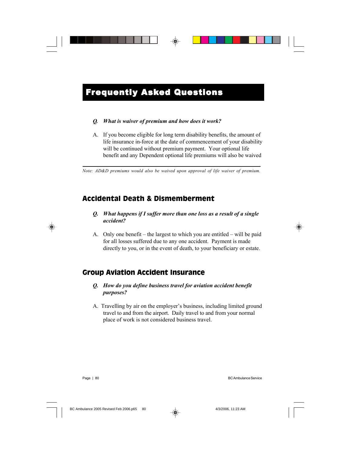#### *Q. What is waiver of premium and how does it work?*

A. If you become eligible for long term disability benefits, the amount of life insurance in-force at the date of commencement of your disability will be continued without premium payment. Your optional life benefit and any Dependent optional life premiums will also be waived

*Note: AD&D premiums would also be waived upon approval of life waiver of premium.*

# Accidental Death & Dismemberment

#### *Q. What happens if I suffer more than one loss as a result of a single accident?*

A. Only one benefit – the largest to which you are entitled – will be paid for all losses suffered due to any one accident. Payment is made directly to you, or in the event of death, to your beneficiary or estate.

# Group Aviation Accident Insurance

#### *Q. How do you define business travel for aviation accident benefit purposes?*

A. Travelling by air on the employer's business, including limited ground travel to and from the airport. Daily travel to and from your normal place of work is not considered business travel.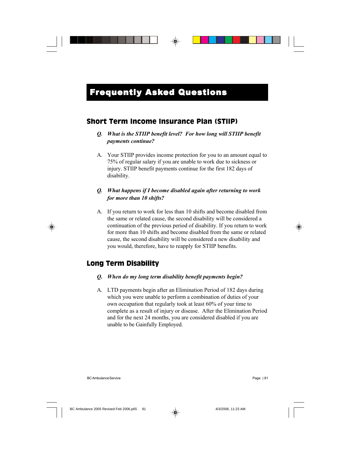### Short Term Income Insurance Plan (STIIP)

### *Q. What is the STIIP benefit level? For how long will STIIP benefit payments continue?*

A. Your STIIP provides income protection for you to an amount equal to 75% of regular salary if you are unable to work due to sickness or injury. STIIP benefit payments continue for the first 182 days of disability.

#### *Q. What happens if I become disabled again after returning to work for more than 10 shifts?*

A. If you return to work for less than 10 shifts and become disabled from the same or related cause, the second disability will be considered a continuation of the previous period of disability. If you return to work for more than 10 shifts and become disabled from the same or related cause, the second disability will be considered a new disability and you would, therefore, have to reapply for STIIP benefits.

### Long Term Disability

#### *Q. When do my long term disability benefit payments begin?*

A. LTD payments begin after an Elimination Period of 182 days during which you were unable to perform a combination of duties of your own occupation that regularly took at least 60% of your time to complete as a result of injury or disease. After the Elimination Period and for the next 24 months, you are considered disabled if you are unable to be Gainfully Employed.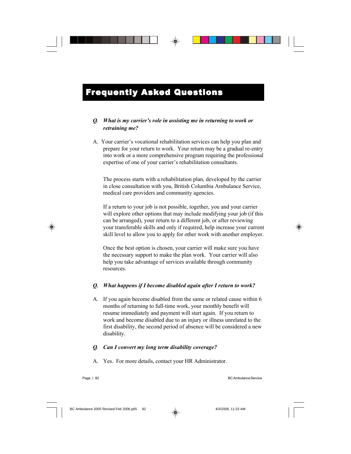### *Q. What is my carrier's role in assisting me in returning to work or retraining me?*

A. Your carrier's vocational rehabilitation services can help you plan and prepare for your return to work. Your return may be a gradual re-entry into work or a more comprehensive program requiring the professional expertise of one of your carrier's rehabilitation consultants.

The process starts with a rehabilitation plan, developed by the carrier in close consultation with you, British Columbia Ambulance Service, medical care providers and community agencies.

If a return to your job is not possible, together, you and your carrier will explore other options that may include modifying your job (if this can be arranged), your return to a different job, or after reviewing your transferable skills and only if required, help increase your current skill level to allow you to apply for other work with another employer.

Once the best option is chosen, your carrier will make sure you have the necessary support to make the plan work. Your carrier will also help you take advantage of services available through community resources.

#### *Q. What happens if I become disabled again after I return to work?*

A. If you again become disabled from the same or related cause within 6 months of returning to full-time work, your monthly benefit will resume immediately and payment will start again. If you return to work and become disabled due to an injury or illness unrelated to the first disability, the second period of absence will be considered a new disability.

#### *Q. Can I convert my long term disability coverage?*

A. Yes. For more details, contact your HR Administrator.